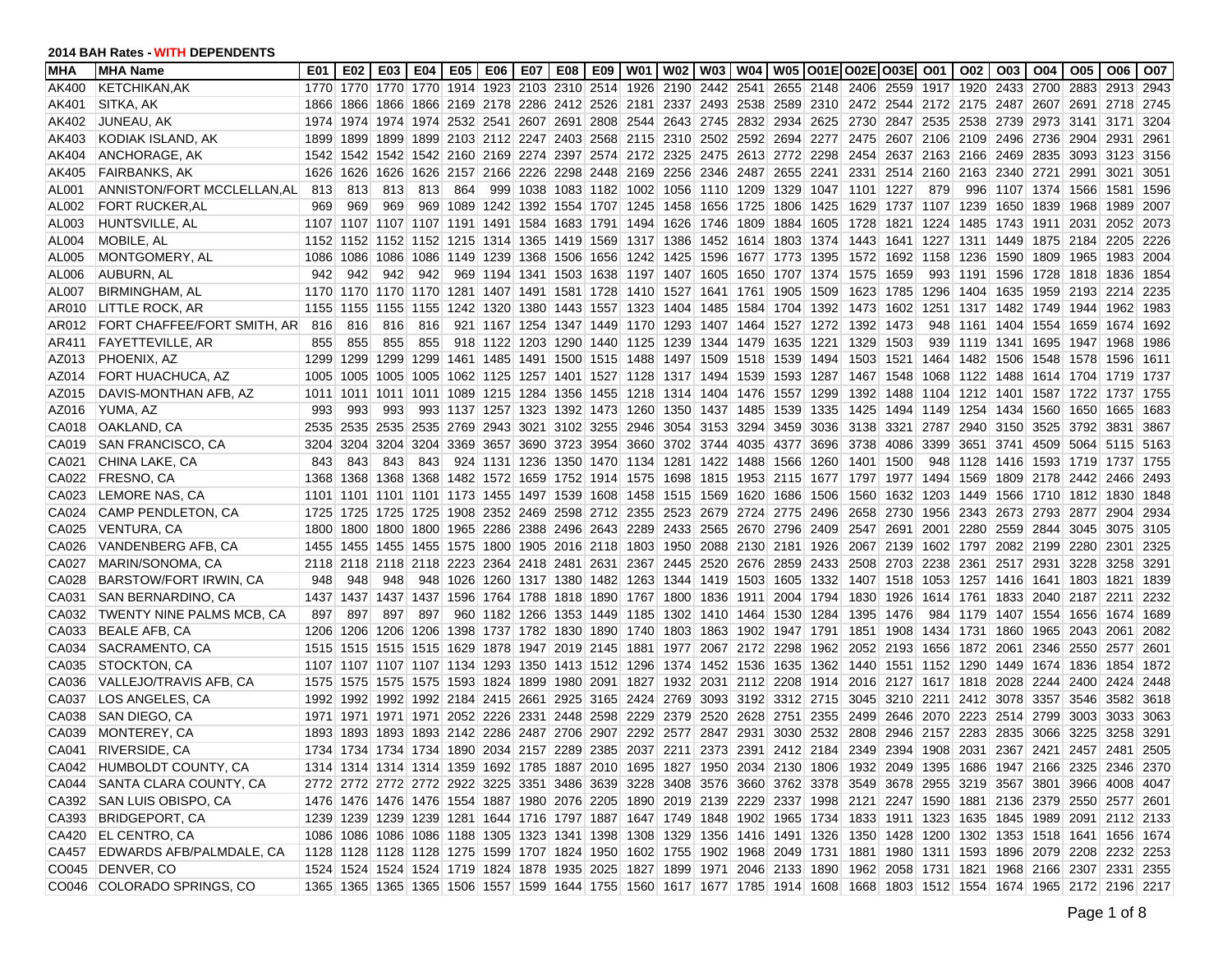| MHA   | <b>IMHA Name</b>                | E01  | E02  | E03  | E04                 | E05 | E06 | E07 |  |                              |                                                                       | E08   E09   W01   W02   W03   W04   W05   O01E   O02E   O03E   O01                                            |      |                                         |                               |                               | O02                 | O03                 | O04            | O05 I                                   | O06                                                                                                                     | O07  |
|-------|---------------------------------|------|------|------|---------------------|-----|-----|-----|--|------------------------------|-----------------------------------------------------------------------|---------------------------------------------------------------------------------------------------------------|------|-----------------------------------------|-------------------------------|-------------------------------|---------------------|---------------------|----------------|-----------------------------------------|-------------------------------------------------------------------------------------------------------------------------|------|
| AK400 | <b>KETCHIKAN.AK</b>             | 1770 |      |      |                     |     |     |     |  |                              |                                                                       | 1770 1770 1770 1914 1923 2103 2310 2514 1926 2190 2442 2541 2655 2148 2406 2559 1917 1920 2433 2700 2883      |      |                                         |                               |                               |                     |                     |                |                                         | 2913                                                                                                                    | 2943 |
| AK401 | SITKA, AK                       | 1866 |      |      |                     |     |     |     |  |                              |                                                                       | 1866 1866 1866 2169 2178 2286 2412 2526 2181 2337 2493 2538 2589 2310 2472 2544 2172 2175 2487 2607 2691 2718 |      |                                         |                               |                               |                     |                     |                |                                         |                                                                                                                         | 2745 |
| AK402 | JUNEAU, AK                      |      |      |      |                     |     |     |     |  |                              |                                                                       | 1974 1974 1974 1974 2532 2541 2607 2691 2808 2544 2643 2745 2832 2934 2625                                    |      | 2730 2847 2535 2538 2739 2973 3141 3171 |                               |                               |                     |                     |                |                                         |                                                                                                                         | 3204 |
| AK403 | KODIAK ISLAND, AK               | 1899 |      |      |                     |     |     |     |  |                              |                                                                       | 1899 1899 1899 2103 2112 2247 2403 2568 2115 2310 2502 2592 2694 2277 2475 2607 2106 2109 2496 2736 2904 2931 |      |                                         |                               |                               |                     |                     |                |                                         |                                                                                                                         | 2961 |
| AK404 | ANCHORAGE, AK                   | 1542 |      |      |                     |     |     |     |  |                              |                                                                       | 1542 1542 1542 2160 2169 2274 2397 2574 2172 2325 2475 2613 2772 2298                                         |      | 2454                                    |                               | 2637 2163 2166 2469 2835      |                     |                     |                | 3093 3123                               |                                                                                                                         | 3156 |
| AK405 | <b>FAIRBANKS, AK</b>            | 1626 | 1626 | 1626 |                     |     |     |     |  |                              |                                                                       | 1626 2157 2166 2226 2298 2448 2169 2256 2346 2487 2655 2241                                                   |      | 2331                                    |                               | 2514 2160                     | 2163 2340 2721      |                     |                | 2991                                    | 3021                                                                                                                    | 3051 |
| AL001 | ANNISTON/FORT MCCLELLAN, ALL    | 813  | 813  | 813  | 813                 | 864 |     |     |  |                              |                                                                       | 999 1038 1083 1182 1002 1056 1110 1209 1329 1047 1101 1227                                                    |      |                                         |                               | 879                           |                     |                     |                | 996   1107   1374   1566   1581         |                                                                                                                         | 1596 |
| AL002 | FORT RUCKER, AL                 | 969  | 969  | 969  |                     |     |     |     |  |                              | 969 1089 1242 1392 1554 1707 1245 1458 1656 1725 1806                 |                                                                                                               | 1425 | 1629                                    | 1737 1107                     |                               |                     |                     |                | 1239 1650 1839 1968 1989                |                                                                                                                         | 2007 |
| AL003 | HUNTSVILLE, AL                  |      |      |      |                     |     |     |     |  |                              |                                                                       | 1107 1107 1107 1107 1191 1491 1584 1683 1791 1494 1626 1746 1809 1884 1605                                    |      | 1728                                    |                               | 1821 1224                     |                     |                     |                | 1485   1743   1911   2031   2052        |                                                                                                                         | 2073 |
| AL004 | MOBILE, AL                      |      |      |      |                     |     |     |     |  |                              |                                                                       | 1152 1152 1152 1152 1215 1314 1365 1419 1569 1317 1386 1452 1614 1803 1374                                    |      | 1443                                    |                               |                               |                     |                     |                | 1641 1227 1311 1449 1875 2184 2205      |                                                                                                                         | 2226 |
| AL005 | MONTGOMERY, AL                  |      |      |      |                     |     |     |     |  |                              |                                                                       | 1086 1086 1086 1086 1149 1239 1368 1506 1656 1242 1425 1596 1677 1773 1395                                    |      | 1572                                    |                               | 1692 1158 1236 1590 1809 1965 |                     |                     |                |                                         | 1983                                                                                                                    | 2004 |
| AL006 | AUBURN, AL                      | 942  | 942  | 942  | 942                 |     |     |     |  |                              |                                                                       | 969 1194 1341 1503 1638 1197 1407 1605 1650 1707 1374                                                         |      | 1575                                    | 1659                          | 993                           |                     |                     |                | 1191 1596 1728 1818                     | 1836                                                                                                                    | 1854 |
| AL007 | <b>BIRMINGHAM, AL</b>           |      |      |      |                     |     |     |     |  |                              |                                                                       | 1170 1170 1170 1170 1281 1407 1491 1581 1728 1410 1527 1641 1761 1905 1509                                    |      | 1623                                    |                               | 1785 1296                     |                     |                     |                | 1404 1635 1959 2193                     | 2214                                                                                                                    | 2235 |
| AR010 | LITTLE ROCK, AR                 |      |      |      |                     |     |     |     |  |                              |                                                                       | 1155 1155 1155 1155 1242 1320 1380 1443 1557 1323 1404 1485 1584 1704 1392                                    |      | 1473                                    |                               |                               |                     |                     |                | 1602 1251 1317 1482 1749 1944 1962      |                                                                                                                         | 1983 |
| AR012 | FORT CHAFFEE/FORT SMITH, AR     | -816 | 816  | 816  | 816                 |     |     |     |  |                              |                                                                       | 921 1167 1254 1347 1449 1170 1293 1407 1464 1527 1272                                                         |      | 1392                                    | 1473                          | 948                           | 1161 1404 1554 1659 |                     |                |                                         | 1674                                                                                                                    | 1692 |
| AR411 | <b>FAYETTEVILLE, AR</b>         | 855  | 855  | 855  | 855                 |     |     |     |  | 918 1122 1203 1290 1440 1125 | 1239 1344 1479 1635                                                   |                                                                                                               | 1221 | 1329                                    | 1503                          | 939                           | 1119 1341 1695 1947 |                     |                |                                         | 1968                                                                                                                    | 1986 |
| AZ013 | PHOENIX, AZ                     | 1299 |      |      | 1299 1299 1299      |     |     |     |  |                              | 1461 1485 1491 1500 1515 1488 1497 1509 1518 1539                     |                                                                                                               | 1494 | 1503                                    |                               |                               |                     |                     |                | 1521 1464 1482 1506 1548 1578 1596      |                                                                                                                         | 1611 |
| AZ014 | FORT HUACHUCA, AZ               | 1005 |      |      |                     |     |     |     |  |                              | 1005 1005 1005 1062 1125 1257 1401 1527 1128 1317 1494 1539 1593      |                                                                                                               | 1287 | 1467                                    |                               | 1548 1068                     |                     |                     |                | 1122 1488 1614 1704 1719                |                                                                                                                         | 1737 |
| AZ015 | DAVIS-MONTHAN AFB, AZ           | 1011 |      |      |                     |     |     |     |  |                              |                                                                       | 1011 1011 1011 1089 1215 1284 1356 1455 1218 1314 1404 1476 1557 1299                                         |      | 1392                                    |                               |                               |                     |                     |                | 1488 1104 1212 1401 1587 1722 1737      |                                                                                                                         | 1755 |
| AZ016 | YUMA, AZ                        | 993  | 993  | 993  |                     |     |     |     |  |                              | 993 1137 1257 1323 1392 1473 1260 1350 1437 1485 1539                 |                                                                                                               | 1335 | 1425                                    | 1494 1149 1254 1434 1560 1650 |                               |                     |                     |                |                                         | 1665                                                                                                                    | 1683 |
|       | CA018   OAKLAND, CA             | 2535 |      |      |                     |     |     |     |  |                              |                                                                       | 2535 2535 2535 2769 2943 3021 3102 3255 2946 3054 3153 3294 3459 3036                                         |      | 3138                                    |                               |                               |                     |                     |                | 3321 2787 2940 3150 3525 3792 3831      |                                                                                                                         | 3867 |
| CA019 | SAN FRANCISCO, CA               | 3204 |      |      |                     |     |     |     |  |                              | 3204 3204 3204 3369 3657 3690 3723 3954 3660 3702 3744 4035 4377      |                                                                                                               | 3696 | 3738                                    | 4086 3399                     |                               |                     |                     |                | 3651 3741 4509 5064 5115                |                                                                                                                         | 5163 |
| CA021 | CHINA LAKE, CA                  | 843  | 843  | 843  | 843                 |     |     |     |  |                              | 924 1131 1236 1350 1470 1134 1281 1422 1488 1566                      |                                                                                                               | 1260 | 1401                                    | 1500                          | 948                           |                     |                     |                | 1128 1416 1593 1719 1737                |                                                                                                                         | 1755 |
| CA022 | FRESNO, CA                      | 1368 |      |      |                     |     |     |     |  |                              |                                                                       | 1368 1368 1368 1482 1572 1659 1752 1914 1575 1698 1815 1953 2115 1677                                         |      | 1797                                    |                               | 1977 1494                     |                     |                     |                | 1569 1809 2178 2442 2466                |                                                                                                                         | 2493 |
| CA023 | LEMORE NAS, CA                  |      |      |      |                     |     |     |     |  |                              |                                                                       | 1101 1101 1101 1101 1173 1455 1497 1539 1608 1458 1515 1569 1620 1686 1506                                    |      | 1560                                    |                               |                               |                     |                     |                | 1632 1203 1449 1566 1710 1812 1830      |                                                                                                                         | 1848 |
| CA024 | CAMP PENDLETON, CA              | 1725 |      |      |                     |     |     |     |  |                              | 1725 1725 1725 1908 2352 2469 2598 2712 2355 2523 2679 2724 2775      |                                                                                                               | 2496 | 2658                                    |                               |                               |                     |                     |                | 2730 1956 2343 2673 2793 2877 2904      |                                                                                                                         | 2934 |
| CA025 | <b>VENTURA, CA</b>              | 1800 |      |      | 1800 1800 1800      |     |     |     |  |                              |                                                                       | 1965 2286 2388 2496 2643 2289 2433 2565 2670 2796 2409                                                        |      | 2547                                    |                               | 2691 2001                     | 2280 2559 2844      |                     |                | 3045                                    | 3075                                                                                                                    | 3105 |
| CA026 | VANDENBERG AFB, CA              |      |      |      |                     |     |     |     |  |                              | 1455 1455 1455 1455 1575 1800 1905 2016 2118 1803 1950 2088 2130 2181 |                                                                                                               | 1926 | 2067                                    | 2139 1602 1797                |                               |                     |                     | 2082 2199 2280 |                                         | 2301                                                                                                                    | 2325 |
| CA027 | MARIN/SONOMA, CA                |      |      |      | 2118 2118 2118 2118 |     |     |     |  |                              | 2223 2364 2418 2481 2631 2367 2445 2520 2676 2859                     |                                                                                                               | 2433 | 2508                                    | 2703 2238                     |                               | 2361                |                     |                | 2517 2931 3228 3258                     |                                                                                                                         | 3291 |
| CA028 | BARSTOW/FORT IRWIN, CA          | 948  | 948  | 948  |                     |     |     |     |  |                              |                                                                       | 948 1026 1260 1317 1380 1482 1263 1344 1419 1503 1605 1332                                                    |      | 1407                                    |                               |                               |                     |                     |                | 1518 1053 1257 1416 1641 1803 1821      |                                                                                                                         | 1839 |
| CA031 | SAN BERNARDINO, CA              |      |      |      |                     |     |     |     |  |                              |                                                                       | 1437 1437 1437 1437 1596 1764 1788 1818 1890 1767 1800 1836 1911 2004 1794                                    |      | 1830                                    |                               |                               |                     |                     |                | 1926   1614   1761   1833   2040   2187 | 2211                                                                                                                    | 2232 |
| CA032 | TWENTY NINE PALMS MCB, CA       | 897  | 897  | 897  | 897                 |     |     |     |  |                              |                                                                       | 960 1182 1266 1353 1449 1185 1302 1410 1464 1530 1284                                                         |      | 1395                                    | 1476                          |                               |                     |                     |                | 984 1179 1407 1554 1656 1674            |                                                                                                                         | 1689 |
| CA033 | <b>BEALE AFB, CA</b>            | 1206 |      |      |                     |     |     |     |  |                              |                                                                       | 1206 1206 1206 1398 1737 1782 1830 1890 1740 1803 1863 1902 1947 1791                                         |      |                                         |                               |                               |                     |                     |                | 1851 1908 1434 1731 1860 1965 2043      | 2061                                                                                                                    | 2082 |
| CA034 | SACRAMENTO, CA                  |      |      |      |                     |     |     |     |  |                              | 1515 1515 1515 1515 1629 1878 1947 2019 2145 1881 1977 2067 2172 2298 |                                                                                                               | 1962 | 2052                                    | 2193 1656                     |                               |                     | 1872 2061 2346 2550 |                |                                         | 2577                                                                                                                    | 2601 |
| CA035 | STOCKTON, CA                    |      |      |      |                     |     |     |     |  |                              |                                                                       | 1107 1107 1107 1107 1134 1293 1350 1413 1512 1296 1374 1452 1536 1635 1362                                    |      |                                         |                               |                               |                     |                     |                | 1440 1551 1152 1290 1449 1674 1836 1854 |                                                                                                                         | 1872 |
| CA036 | VALLEJO/TRAVIS AFB, CA          |      |      |      |                     |     |     |     |  |                              |                                                                       | 1575 1575 1575 1575 1593 1824 1899 1980 2091 1827 1932 2031 2112 2208 1914                                    |      |                                         |                               |                               |                     |                     |                | 2016 2127 1617 1818 2028 2244 2400 2424 |                                                                                                                         | 2448 |
| CA037 | LOS ANGELES. CA                 |      |      |      |                     |     |     |     |  |                              |                                                                       | 1992 1992 1992 1992 2184 2415 2661 2925 3165 2424 2769 3093 3192 3312 2715                                    |      |                                         |                               |                               |                     |                     |                | 3045 3210 2211 2412 3078 3357 3546 3582 |                                                                                                                         | 3618 |
| CA038 | SAN DIEGO, CA                   |      |      |      |                     |     |     |     |  |                              |                                                                       | 1971 1971 1971 1971 2052 2226 2331 2448 2598 2229 2379 2520 2628 2751 2355                                    |      | 2499                                    |                               | 2646 2070 2223 2514 2799 3003 |                     |                     |                |                                         | 3033                                                                                                                    | 3063 |
| CA039 | MONTEREY, CA                    |      |      |      |                     |     |     |     |  |                              |                                                                       | 1893 1893 1893 1893 2142 2286 2487 2706 2907 2292 2577 2847 2931 3030 2532                                    |      | 2808                                    |                               | 2946 2157                     | 2283 2835 3066      |                     |                | 3225                                    | 3258                                                                                                                    | 3291 |
| CA041 | RIVERSIDE, CA                   |      |      |      |                     |     |     |     |  |                              |                                                                       | 1734 1734 1734 1734 1890 2034 2157 2289 2385 2037 2211 2373 2391 2412 2184                                    |      |                                         |                               |                               |                     |                     |                | 2349 2394 1908 2031 2367 2421 2457      | 2481                                                                                                                    | 2505 |
|       | CA042 HUMBOLDT COUNTY, CA       |      |      |      |                     |     |     |     |  |                              |                                                                       |                                                                                                               |      |                                         |                               |                               |                     |                     |                |                                         | 1314 1314 1314 1314 1359 1692 1785 1887 2010 1695 1827 1950 2034 2130 1806 1932 2049 1395 1686 1947 2166 2325 2346 2370 |      |
|       | CA044 SANTA CLARA COUNTY, CA    |      |      |      |                     |     |     |     |  |                              |                                                                       |                                                                                                               |      |                                         |                               |                               |                     |                     |                |                                         | 2772 2772 2772 2772 2922 3225 3351 3486 3639 3228 3408 3576 3660 3762 3378 3549 3678 2955 3219 3567 3801 3966 4008 4047 |      |
|       | CA392 SAN LUIS OBISPO, CA       |      |      |      |                     |     |     |     |  |                              |                                                                       |                                                                                                               |      |                                         |                               |                               |                     |                     |                |                                         | 1476 1476 1476 1476 1554 1887 1980 2076 2205 1890 2019 2139 2229 2337 1998 2121 2247 1590 1881 2136 2379 2550 2577 2601 |      |
|       | CA393 BRIDGEPORT, CA            |      |      |      |                     |     |     |     |  |                              |                                                                       |                                                                                                               |      |                                         |                               |                               |                     |                     |                |                                         | 1239 1239 1239 1239 1281 1644 1716 1797 1887 1647 1749 1848 1902 1965 1734 1833 1911 1323 1635 1845 1989 2091 2112 2133 |      |
| CA420 | <b>EL CENTRO, CA</b>            |      |      |      |                     |     |     |     |  |                              |                                                                       |                                                                                                               |      |                                         |                               |                               |                     |                     |                |                                         | 1086 1086 1086 1086 1188 1305 1323 1341 1398 1308 1329 1356 1416 1491 1326 1350 1428 1200 1302 1353 1518 1641 1656 1674 |      |
| CA457 | <b>EDWARDS AFB/PALMDALE, CA</b> |      |      |      |                     |     |     |     |  |                              |                                                                       |                                                                                                               |      |                                         |                               |                               |                     |                     |                |                                         | 1128 1128 1128 1128 1275 1599 1707 1824 1950 1602 1755 1902 1968 2049 1731 1881 1980 1311 1593 1896 2079 2208 2232 2253 |      |
|       | CO045 DENVER, CO                |      |      |      |                     |     |     |     |  |                              |                                                                       |                                                                                                               |      |                                         |                               |                               |                     |                     |                |                                         | 1524 1524 1524 1524 1719 1824 1878 1935 2025 1827 1899 1971 2046 2133 1890 1962 2058 1731 1821 1968 2166 2307 2331 2355 |      |
|       | CO046 COLORADO SPRINGS, CO      |      |      |      |                     |     |     |     |  |                              |                                                                       |                                                                                                               |      |                                         |                               |                               |                     |                     |                |                                         | 1365 1365 1365 1365 1506 1557 1599 1644 1755 1560 1617 1677 1785 1914 1608 1668 1803 1512 1554 1674 1965 2172 2196 2217 |      |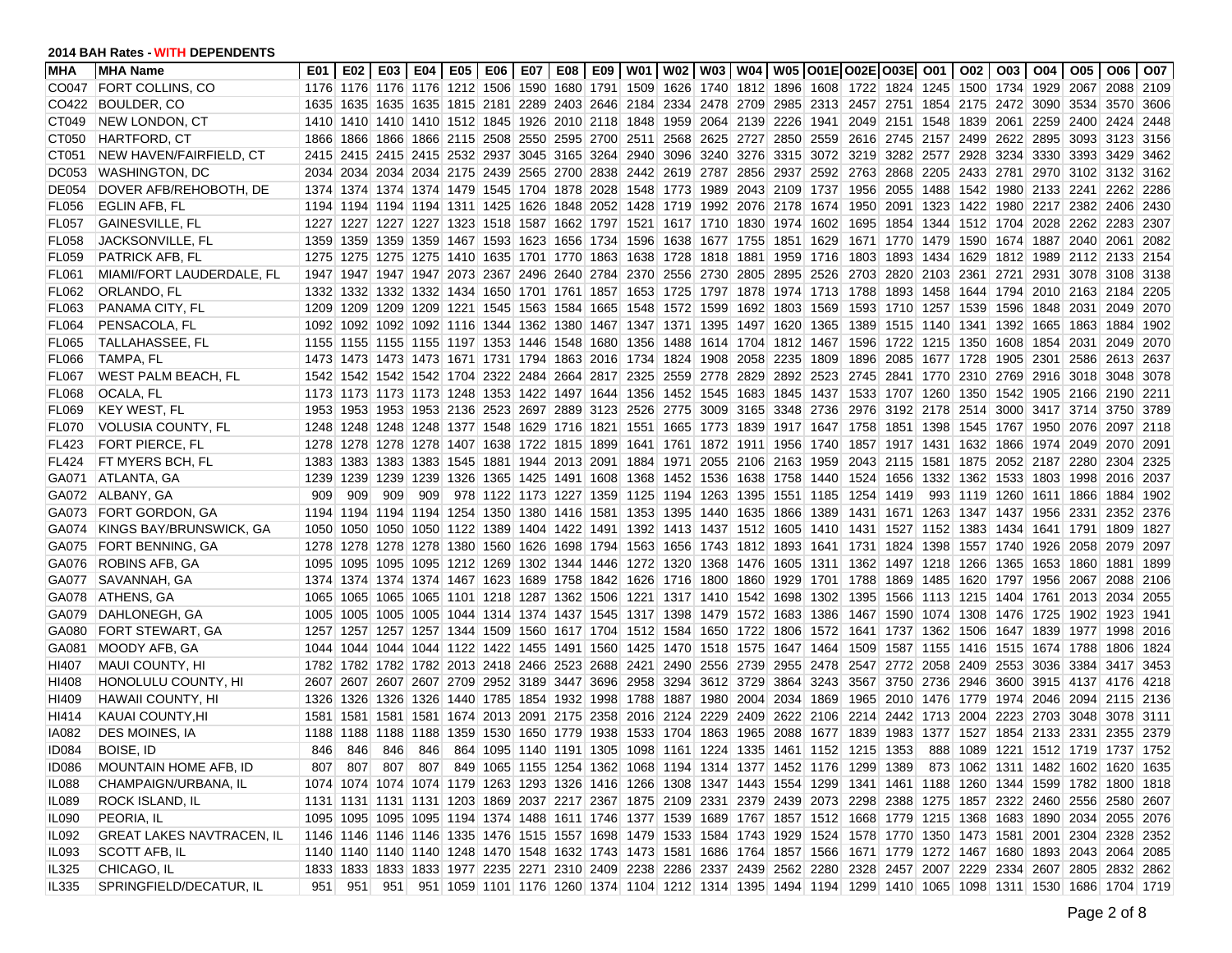| <b>MHA</b>   | <b>MHA Name</b>                  | E01  |     |                |     |  |  |  |                                                                       | E02   E03   E04   E05   E06   E07   E08   E09   W01   W02   W03   W04   W05  O01E O02E O03E  O01   O02                  |      |      |           |  | 003   004   005   006   007                    |  |       |
|--------------|----------------------------------|------|-----|----------------|-----|--|--|--|-----------------------------------------------------------------------|-------------------------------------------------------------------------------------------------------------------------|------|------|-----------|--|------------------------------------------------|--|-------|
| CO047        | <b>FORT COLLINS, CO</b>          |      |     |                |     |  |  |  |                                                                       | 1176 1176 1176 1176 1212 1506 1590 1680 1791 1509 1626 1740 1812 1896 1608 1722 1824 1245 1500 1734 1929 2067 2088 2109 |      |      |           |  |                                                |  |       |
| CO422        | BOULDER, CO                      |      |     |                |     |  |  |  |                                                                       | 1635 1635 1635 1635 1815 2181 2289 2403 2646 2184 2334 2478 2709 2985 2313 2457 2751 1854 2175 2472 3090 3534 3570      |      |      |           |  |                                                |  | 3606  |
| CT049        | <b>NEW LONDON, CT</b>            |      |     |                |     |  |  |  |                                                                       | 1410 1410 1410 1410 1512 1845 1926 2010 2118 1848 1959 2064 2139 2226 1941 2049 2151 1548 1839 2061 2259 2400 2424      |      |      |           |  |                                                |  | 2448  |
| CT050        | <b>HARTFORD, CT</b>              | 1866 |     |                |     |  |  |  |                                                                       | 1866 1866 1866 2115 2508 2550 2595 2700 2511 2568 2625 2727 2850 2559                                                   |      |      |           |  | 2616 2745 2157 2499 2622 2895 3093 3123        |  | 3156  |
| CT051        | NEW HAVEN/FAIRFIELD, CT          |      |     |                |     |  |  |  |                                                                       | 2415 2415 2415 2415 2532 2937 3045 3165 3264 2940 3096 3240 3276 3315 3072                                              |      |      |           |  | 3219 3282 2577 2928 3234 3330 3393 3429        |  | 3462  |
| <b>DC053</b> | <b>WASHINGTON, DC</b>            |      |     |                |     |  |  |  |                                                                       | 2034 2034 2034 2034 2175 2439 2565 2700 2838 2442 2619 2787 2856 2937 2592 2763 2868 2205 2433 2781 2970 3102 3132      |      |      |           |  |                                                |  | 3162  |
| <b>DE054</b> | DOVER AFB/REHOBOTH, DE           |      |     |                |     |  |  |  |                                                                       | 1374 1374 1374 1374 1479 1545 1704 1878 2028 1548 1773 1989 2043 2109 1737                                              |      | 1956 |           |  | 2055  1488  1542  1980  2133  2241  2262       |  | 2286  |
| FL056        | EGLIN AFB, FL                    |      |     |                |     |  |  |  |                                                                       | 1194 1194 1194 1194 1311 1425 1626 1848 2052 1428 1719 1992 2076 2178 1674                                              |      | 1950 |           |  | 2091 1323 1422 1980 2217 2382 2406             |  | 2430  |
| <b>FL057</b> | GAINESVILLE, FL                  |      |     |                |     |  |  |  |                                                                       | 1227 1227 1227 1227 1323 1518 1587 1662 1797 1521 1617 1710 1830 1974 1602                                              |      | 1695 |           |  | 1854 1344 1512 1704 2028 2262 2283             |  | 2307  |
| FL058        | JACKSONVILLE, FL                 |      |     |                |     |  |  |  |                                                                       | 1359 1359 1359 1359 1467 1593 1623 1656 1734 1596 1638 1677 1755 1851 1629                                              |      |      |           |  | 1671 1770 1479 1590 1674 1887 2040 2061        |  | 2082  |
| FL059        | PATRICK AFB, FL                  |      |     |                |     |  |  |  |                                                                       | 1275 1275 1275 1275 1410 1635 1701 1770 1863 1638 1728 1818 1881 1959 1716                                              |      | 1803 |           |  | 1893 1434 1629 1812 1989 2112 2133             |  | 2154  |
| <b>FL061</b> | MIAMI/FORT LAUDERDALE, FL        |      |     |                |     |  |  |  |                                                                       | 1947 1947 1947 1947 2073 2367 2496 2640 2784 2370 2556 2730 2805 2895 2526                                              |      | 2703 |           |  | 2820 2103 2361 2721 2931 3078 3108 3138        |  |       |
| FL062        | ORLANDO, FL                      |      |     |                |     |  |  |  |                                                                       | 1332 1332 1332 1332 1434 1650 1701 1761 1857 1653 1725 1797 1878 1974 1713 1788                                         |      |      |           |  | 1893 1458 1644 1794 2010 2163 2184             |  | 2205  |
| FL063        | PANAMA CITY, FL                  |      |     |                |     |  |  |  |                                                                       | 1209 1209 1209 1209 1221 1545 1563 1584 1665 1548 1572 1599 1692 1803 1569                                              |      | 1593 |           |  | 1710 1257 1539 1596 1848 2031 2049             |  | 2070  |
| FL064        | PENSACOLA, FL                    |      |     |                |     |  |  |  |                                                                       | 1092 1092 1092 1092 1116 1344 1362 1380 1467 1347 1371 1395 1497 1620 1365                                              |      | 1389 |           |  | 1515 1140 1341 1392 1665 1863 1884             |  | 1902  |
| <b>FL065</b> | TALLAHASSEE, FL                  |      |     |                |     |  |  |  |                                                                       | 1155 1155 1155 1155 1197 1353 1446 1548 1680 1356 1488 1614 1704 1812 1467                                              |      | 1596 |           |  | 1722 1215 1350 1608 1854 2031 2049             |  | 2070  |
| <b>FL066</b> | TAMPA, FL                        |      |     |                |     |  |  |  | 1473 1473 1473 1473 1671 1731 1794 1863 2016 1734 1824 1908 2058 2235 |                                                                                                                         | 1809 | 1896 |           |  | 2085 1677 1728 1905 2301 2586 2613             |  | 2637  |
| <b>FL067</b> | WEST PALM BEACH, FL              |      |     |                |     |  |  |  |                                                                       | 1542 1542 1542 1542 1704 2322 2484 2664 2817 2325 2559 2778 2829 2892 2523                                              |      |      |           |  | 2745 2841 1770 2310 2769 2916 3018 3048        |  | 3078  |
| <b>FL068</b> | OCALA, FL                        |      |     |                |     |  |  |  |                                                                       | 1173 1173 1173 1173 1248 1353 1422 1497 1644 1356 1452 1545 1683 1845 1437 1533 1707 1260 1350 1542 1905 2166 2190 2211 |      |      |           |  |                                                |  |       |
| FL069        | <b>KEY WEST, FL</b>              |      |     |                |     |  |  |  |                                                                       | 1953 1953 1953 1953 2136 2523 2697 2889 3123 2526 2775 3009 3165 3348 2736 2976 3192 2178 2514 3000 3417 3714 3750 3789 |      |      |           |  |                                                |  |       |
| FL070        | VOLUSIA COUNTY, FL               |      |     |                |     |  |  |  |                                                                       | 1248 1248 1248 1248 1377 1548 1629 1716 1821 1551 1665 1773 1839 1917 1647 1758 1851 1398 1545 1767 1950 2076 2097      |      |      |           |  |                                                |  | 2118  |
| FL423        | FORT PIERCE, FL                  |      |     |                |     |  |  |  |                                                                       | 1278 1278 1278 1278 1407 1638 1722 1815 1899 1641 1761 1872 1911 1956 1740 1857 1917 1431 1632 1866 1974 2049 2070      |      |      |           |  |                                                |  | 2091  |
| <b>FL424</b> | FT MYERS BCH, FL                 | 1383 |     |                |     |  |  |  |                                                                       | 1383 1383 1383 1545 1881 1944 2013 2091 1884 1971 2055 2106 2163 1959                                                   |      | 2043 |           |  | 2115   1581   1875   2052   2187   2280   2304 |  | 2325  |
| GA071        | ATLANTA, GA                      | 1239 |     | 1239 1239 1239 |     |  |  |  |                                                                       | 1326 1365 1425 1491 1608 1368 1452 1536 1638 1758 1440 1524                                                             |      |      |           |  | 1656 1332 1362 1533 1803 1998 2016             |  | 2037  |
| GA072        | ALBANY, GA                       | 909  | 909 | 909            | 909 |  |  |  |                                                                       | 978 1122 1173 1227 1359 1125 1194 1263 1395 1551 1185                                                                   |      | 1254 | 1419      |  | 993 1119 1260 1611 1866 1884                   |  | 1902  |
| GA073        | <b>FORT GORDON, GA</b>           |      |     |                |     |  |  |  | 1194 1194 1194 1194 1254 1350 1380 1416 1581 1353 1395 1440 1635 1866 |                                                                                                                         | 1389 | 1431 |           |  | 1671 1263 1347 1437 1956 2331 2352             |  | 2376  |
| GA074        | KINGS BAY/BRUNSWICK, GA          |      |     |                |     |  |  |  |                                                                       | 1050 1050 1050 1050 1122 1389 1404 1422 1491 1392 1413 1437 1512 1605 1410 1431 1527 1152 1383 1434 1641 1791 1809      |      |      |           |  |                                                |  | 1827  |
| GA075        | FORT BENNING, GA                 |      |     |                |     |  |  |  |                                                                       | 1278 1278 1278 1278 1380 1560 1626 1698 1794 1563 1656 1743 1812 1893 1641 1731 1824 1398 1557 1740 1926 2058 2079      |      |      |           |  |                                                |  | 2097  |
| GA076        | ROBINS AFB, GA                   |      |     |                |     |  |  |  |                                                                       | 1095 1095 1095 1095 1212 1269 1302 1344 1446 1272 1320 1368 1476 1605 1311 1362                                         |      |      | 1497 1218 |  | 1266 1365 1653 1860 1881                       |  | 1899  |
| GA077        | SAVANNAH, GA                     |      |     |                |     |  |  |  |                                                                       | 1374 1374 1374 1374 1467 1623 1689 1758 1842 1626 1716 1800 1860 1929 1701 1788                                         |      |      |           |  | 1869 1485 1620 1797 1956 2067 2088             |  | 2106  |
| GA078        | ATHENS, GA                       |      |     |                |     |  |  |  |                                                                       | 1065 1065 1065 1065 1101 1218 1287 1362 1506 1221 1317 1410 1542 1698 1302                                              |      | 1395 |           |  | 1566 1113 1215 1404 1761 2013 2034             |  | 2055  |
| GA079        | DAHLONEGH, GA                    |      |     |                |     |  |  |  |                                                                       | 1005 1005 1005 1005 1044 1314 1374 1437 1545 1317 1398 1479 1572 1683 1386                                              |      | 1467 |           |  | 1590 1074 1308 1476 1725 1902 1923             |  | 1941  |
| GA080        | FORT STEWART, GA                 |      |     |                |     |  |  |  |                                                                       | 1257 1257 1257 1257 1344 1509 1560 1617 1704 1512 1584 1650 1722 1806 1572                                              |      |      |           |  | 1641 1737 1362 1506 1647 1839 1977 1998        |  | 2016  |
| GA081        | MOODY AFB, GA                    |      |     |                |     |  |  |  |                                                                       | 1044 1044 1044 1044 1122 1422 1455 1491 1560 1425 1470 1518 1575 1647 1464                                              |      | 1509 |           |  | 1587 1155 1416 1515 1674 1788 1806             |  | 1824  |
| HI407        | MAUI COUNTY, HI                  |      |     |                |     |  |  |  |                                                                       | 1782 1782 1782 1782 2013 2418 2466 2523 2688 2421 2490 2556 2739 2955 2478                                              |      | 2547 |           |  | 2772 2058 2409 2553 3036 3384 3417 3453        |  |       |
| HI408        | HONOLULU COUNTY, HI              |      |     |                |     |  |  |  |                                                                       | 2607 2607 2607 2607 2709 2952 3189 3447 3696 2958 3294 3612 3729 3864 3243                                              |      | 3567 |           |  | 3750 2736 2946 3600 3915 4137 4176             |  | 4218  |
| HI409        | <b>HAWAII COUNTY, HI</b>         |      |     |                |     |  |  |  |                                                                       | 1326 1326 1326 1326 1440 1785 1854 1932 1998 1788 1887 1980 2004 2034 1869                                              |      | 1965 |           |  | 2010 1476 1779 1974 2046 2094 2115             |  | 2136  |
| HI414        | KAUAI COUNTY, HI                 |      |     |                |     |  |  |  |                                                                       | 1581 1581 1581 1581 1674 2013 2091 2175 2358 2016 2124 2229 2409 2622 2106                                              |      |      |           |  | 2214 2442 1713 2004 2223 2703 3048 3078        |  | 3111  |
| IA082        | <b>DES MOINES, IA</b>            | 1188 |     |                |     |  |  |  |                                                                       | 1188 1188 1188 1359 1530 1650 1779 1938 1533 1704 1863 1965 2088 1677                                                   |      | 1839 |           |  | 1983 1377 1527 1854 2133 2331 2355             |  | -2379 |
| <b>ID084</b> | BOISE, ID                        | 846  | 846 | 846            | 846 |  |  |  |                                                                       | 864 1095 1140 1191 1305 1098 1161 1224 1335 1461 1152 1215 1353                                                         |      |      |           |  | 888 1089 1221 1512 1719 1737 1752              |  |       |
| ID086        | MOUNTAIN HOME AFB, ID            |      |     |                |     |  |  |  |                                                                       | 807 807 807 807 849 1065 1155 1254 1362 1068 1194 1314 1377 1452 1176 1299 1389 873 1062 1311 1482 1602 1620 1635       |      |      |           |  |                                                |  |       |
| IL088        | CHAMPAIGN/URBANA, IL             |      |     |                |     |  |  |  |                                                                       | 1074 1074 1074 1074 1179 1263 1293 1326 1416 1266 1308 1347 1443 1554 1299 1341 1461 1188 1260 1344 1599 1782 1800 1818 |      |      |           |  |                                                |  |       |
| <b>IL089</b> | ROCK ISLAND, IL                  |      |     |                |     |  |  |  |                                                                       | 1131 1131 1131 1131 1203 1869 2037 2217 2367 1875 2109 2331 2379 2439 2073 2298 2388 1275 1857 2322 2460 2556 2580 2607 |      |      |           |  |                                                |  |       |
| <b>IL090</b> | PEORIA, IL                       |      |     |                |     |  |  |  |                                                                       | 1095 1095 1095 1095 1194 1374 1488 1611 1746 1377 1539 1689 1767 1857 1512 1668 1779 1215 1368 1683 1890 2034 2055 2076 |      |      |           |  |                                                |  |       |
| IL092        | <b>GREAT LAKES NAVTRACEN, IL</b> |      |     |                |     |  |  |  |                                                                       | 1146 1146 1146 1335 1476 1515 1557 1698 1479 1533 1584 1743 1929 1524 1578 1770 1350 1473 1581 2001 2304 2328 2352      |      |      |           |  |                                                |  |       |
| IL093        | SCOTT AFB, IL                    |      |     |                |     |  |  |  |                                                                       | 1140 1140 1140 1248 1470 1548 1632 1743 1473 1581 1686 1764 1857 1566 1671 1779 1272 1467 1680 1893 2043 2064 2085      |      |      |           |  |                                                |  |       |
| IL325        | CHICAGO, IL                      |      |     |                |     |  |  |  |                                                                       | 1833 1833 1833 1833 1977 2235 2271 2310 2409 2238 2286 2337 2439 2562 2280 2328 2457 2007 2229 2334 2607 2805 2832 2862 |      |      |           |  |                                                |  |       |
| <b>IL335</b> | SPRINGFIELD/DECATUR, IL          | 9511 |     |                |     |  |  |  |                                                                       | 951 951 951 1059 1101 1176 1260 1374 1104 1212 1314 1395 1494 1194 1299 1410 1065 1098 1311 1530 1686 1704 1719         |      |      |           |  |                                                |  |       |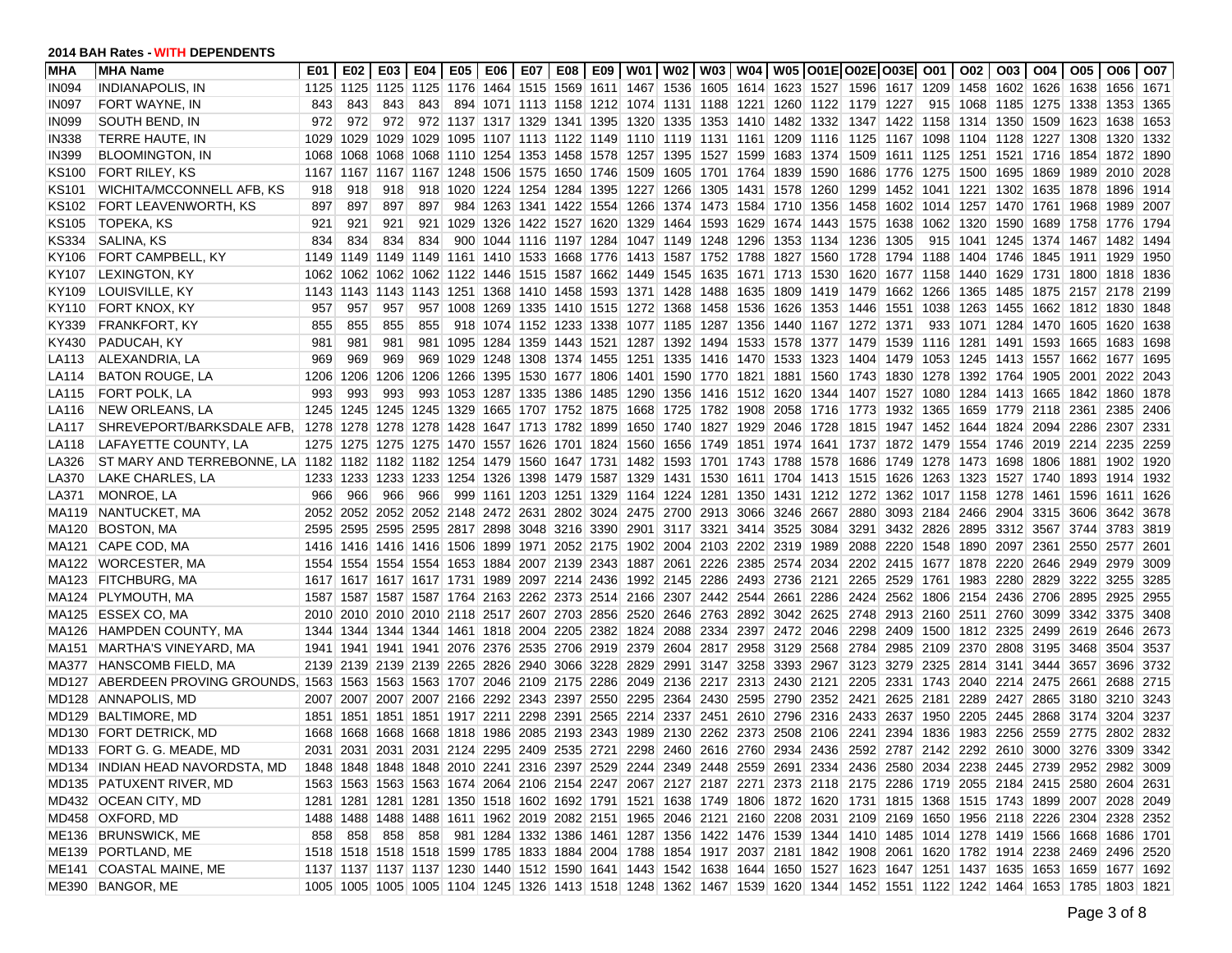| <b>MHA</b>   | <b>MHA Name</b>                                                                                                                               | E01  |     |           |                                                                       |  |  |  |                                                   |                                                                                 |      | E02   E03   E04   E05   E06   E07   E08   E09   W01   W02   W03   W04   W05  O01E O02E O03E  O01   O02                  |           |  |                                         |           | 003   004   005   006   007 |       |
|--------------|-----------------------------------------------------------------------------------------------------------------------------------------------|------|-----|-----------|-----------------------------------------------------------------------|--|--|--|---------------------------------------------------|---------------------------------------------------------------------------------|------|-------------------------------------------------------------------------------------------------------------------------|-----------|--|-----------------------------------------|-----------|-----------------------------|-------|
| <b>IN094</b> | <b>INDIANAPOLIS, IN</b>                                                                                                                       |      |     |           |                                                                       |  |  |  |                                                   |                                                                                 |      | 1125 1125 1125 1125 1176 1464 1515 1569 1611 1467 1536 1605 1614 1623 1527 1596 1617 1209 1458 1602 1626 1638 1656 1671 |           |  |                                         |           |                             |       |
| IN097        | FORT WAYNE, IN                                                                                                                                | 843  | 843 | 843       | 843                                                                   |  |  |  |                                                   |                                                                                 |      | 894 1071 1113 1158 1212 1074 1131 1188 1221 1260 1122 1179 1227                                                         |           |  | 915 1068 1185 1275 1338 1353            |           |                             | 1365  |
| IN099        | SOUTH BEND, IN                                                                                                                                | 972  | 972 | 972       |                                                                       |  |  |  |                                                   |                                                                                 |      | 972 1137 1317 1329 1341 1395 1320 1335 1353 1410 1482 1332 1347 1422 1158 1314 1350 1509                                |           |  |                                         | 1623 1638 |                             | 1653  |
| <b>IN338</b> | TERRE HAUTE, IN                                                                                                                               | 1029 |     |           | 1029 1029 1029                                                        |  |  |  |                                                   |                                                                                 |      | 1095 1107 1113 1122 1149 1110 1119 1131 1161 1209 1116 1125 1167 1098 1104 1128 1227 1308 1320                          |           |  |                                         |           |                             | 1332  |
| <b>IN399</b> | <b>BLOOMINGTON, IN</b>                                                                                                                        | 1068 |     |           |                                                                       |  |  |  |                                                   |                                                                                 |      | 1068 1068 1068 1110 1254 1353 1458 1578 1257 1395 1527 1599 1683 1374 1509 1611 1125 1251 1521 1716 1854 1872           |           |  |                                         |           |                             | 1890  |
| KS100        | <b>FORT RILEY, KS</b>                                                                                                                         |      |     |           | 1167 1167 1167 1167 1248 1506 1575 1650 1746 1509 1605 1701 1764 1839 |  |  |  |                                                   |                                                                                 |      | 1590 1686 1776 1275 1500 1695 1869                                                                                      |           |  |                                         | 1989      | 2010                        | 2028  |
| <b>KS101</b> | WICHITA/MCCONNELL AFB, KS                                                                                                                     | 918  | 918 | 918       | 918                                                                   |  |  |  |                                                   |                                                                                 |      | 1020 1224 1254 1284 1395 1227 1266 1305 1431 1578 1260 1299 1452 1041 1221                                              |           |  | 1302 1635 1878 1896                     |           |                             | 1914  |
| KS102        | FORT LEAVENWORTH, KS                                                                                                                          | 897  | 897 | 897       | 897                                                                   |  |  |  |                                                   |                                                                                 |      | 984 1263 1341 1422 1554 1266 1374 1473 1584 1710 1356 1458 1602 1014 1257 1470 1761 1968 1989                           |           |  |                                         |           |                             | 2007  |
| KS105        | TOPEKA, KS                                                                                                                                    | 921  | 921 | 921       | 921                                                                   |  |  |  |                                                   |                                                                                 |      | 1029 1326 1422 1527 1620 1329 1464 1593 1629 1674 1443 1575 1638 1062 1320 1590 1689 1758 1776                          |           |  |                                         |           |                             | 1794  |
| KS334        | SALINA, KS                                                                                                                                    | 834  | 834 | 834       | 834                                                                   |  |  |  |                                                   |                                                                                 |      | 900 1044 1116 1197 1284 1047 1149 1248 1296 1353 1134 1236 1305                                                         |           |  | 915 1041 1245 1374 1467 1482            |           |                             | 1494  |
| KY106        | FORT CAMPBELL, KY                                                                                                                             | 1149 |     |           |                                                                       |  |  |  |                                                   |                                                                                 |      | 1149 1149 1149 1161 1410 1533 1668 1776 1413 1587 1752 1788 1827 1560 1728 1794 1188 1404 1746 1845                     |           |  |                                         | 1911 1929 |                             | 1950  |
| KY107        | <b>LEXINGTON, KY</b>                                                                                                                          | 1062 |     |           |                                                                       |  |  |  |                                                   |                                                                                 |      | 1062 1062 1062 1122 1446 1515 1587 1662 1449 1545 1635 1671 1713 1530 1620 1677 1158 1440 1629 1731 1800 1818           |           |  |                                         |           |                             | 1836  |
| KY109        | LOUISVILLE, KY                                                                                                                                | 1143 |     |           |                                                                       |  |  |  |                                                   |                                                                                 |      | 1143 1143 1143 1251 1368 1410 1458 1593 1371 1428 1488 1635 1809 1419 1479 1662 1266 1365 1485 1875 2157 2178           |           |  |                                         |           |                             | 2199  |
| KY110        | FORT KNOX, KY                                                                                                                                 | 957  | 957 | 957       |                                                                       |  |  |  |                                                   |                                                                                 |      | 957 1008 1269 1335 1410 1515 1272 1368 1458 1536 1626 1353 1446 1551 1038 1263 1455 1662 1812 1830                      |           |  |                                         |           |                             | 1848  |
| KY339        | FRANKFORT, KY                                                                                                                                 | 855  | 855 | 855       | 855                                                                   |  |  |  |                                                   |                                                                                 |      | 918 1074 1152 1233 1338 1077 1185 1287 1356 1440 1167 1272 1371                                                         |           |  | 933 1071 1284 1470 1605 1620            |           |                             | 1638  |
| KY430        | PADUCAH, KY                                                                                                                                   | 981  | 981 | 981       | 981                                                                   |  |  |  |                                                   |                                                                                 |      | 1095 1284 1359 1443 1521 1287 1392 1494 1533 1578 1377 1479 1539 1116 1281 1491 1593 1665 1683                          |           |  |                                         |           |                             | 1698  |
| LA113        | ALEXANDRIA, LA                                                                                                                                | 969  | 969 | 969       |                                                                       |  |  |  |                                                   |                                                                                 |      | 969 1029 1248 1308 1374 1455 1251 1335 1416 1470 1533 1323 1404 1479 1053 1245 1413 1557 1662 1677                      |           |  |                                         |           |                             | 1695  |
| LA114        | <b>BATON ROUGE, LA</b>                                                                                                                        | 1206 |     | 1206 1206 | 1206                                                                  |  |  |  | 1266 1395 1530 1677 1806 1401 1590 1770 1821 1881 |                                                                                 |      | 1560 1743 1830 1278 1392 1764 1905 2001                                                                                 |           |  |                                         |           | 2022                        | 2043  |
| LA115        | FORT POLK, LA                                                                                                                                 | 993  | 993 | 993       | 993                                                                   |  |  |  |                                                   |                                                                                 |      | 1053 1287 1335 1386 1485 1290 1356 1416 1512 1620 1344 1407 1527 1080 1284 1413 1665 1842 1860                          |           |  |                                         |           |                             | 1878  |
| LA116        | NEW ORLEANS, LA                                                                                                                               | 1245 |     |           |                                                                       |  |  |  |                                                   |                                                                                 |      | 1245 1245 1245 1329 1665 1707 1752 1875 1668 1725 1782 1908 2058 1716 1773 1932 1365 1659 1779 2118 2361 2385           |           |  |                                         |           |                             | 2406  |
| LA117        | SHREVEPORT/BARKSDALE AFB, 1278                                                                                                                |      |     |           |                                                                       |  |  |  |                                                   |                                                                                 |      | 1278 1278 1278 1428 1647 1713 1782 1899 1650 1740 1827 1929 2046 1728 1815 1947 1452 1644 1824 2094 2286 2307           |           |  |                                         |           |                             | 2331  |
| LA118        | LAFAYETTE COUNTY, LA                                                                                                                          |      |     |           |                                                                       |  |  |  |                                                   |                                                                                 |      | 1275 1275 1275 1275 1470 1557 1626 1701 1824 1560 1656 1749 1851 1974 1641 1737 1872 1479 1554 1746 2019 2214 2235      |           |  |                                         |           |                             | 2259  |
| LA326        | ST MARY AND TERREBONNE, LA 1182 1182 1182 1182 1254 1479 1560 1647 1731 1482 1593 1701 1743 1788 1578 1686 1749 1278 1473 1698 1806 1881 1902 |      |     |           |                                                                       |  |  |  |                                                   |                                                                                 |      |                                                                                                                         |           |  |                                         |           |                             | 1920  |
| LA370        | LAKE CHARLES, LA                                                                                                                              | 1233 |     |           |                                                                       |  |  |  |                                                   |                                                                                 |      | 1233 1233 1233 1254 1326 1398 1479 1587 1329 1431 1530 1611 1704 1413 1515 1626 1263 1323 1527 1740 1893 1914           |           |  |                                         |           |                             | 1932  |
| LA371        | <b>MONROE, LA</b>                                                                                                                             | 966  | 966 | 966       | 966                                                                   |  |  |  |                                                   |                                                                                 |      | 999 1161 1203 1251 1329 1164 1224 1281 1350 1431 1212 1272 1362 1017 1158 1278 1461 1596 1611                           |           |  |                                         |           |                             | 1626  |
| MA119        | NANTUCKET, MA                                                                                                                                 | 2052 |     |           |                                                                       |  |  |  |                                                   | 2052 2052 2052 2148 2472 2631 2802 3024 2475 2700 2913 3066 3246 2667           |      | 2880                                                                                                                    |           |  | 3093 2184 2466 2904 3315 3606 3642      |           |                             | 3678  |
| MA120        | BOSTON, MA                                                                                                                                    |      |     |           |                                                                       |  |  |  |                                                   | 2595 2595 2595 2595 2817 2898 3048 3216 3390 2901 3117 3321 3414 3525 3084      |      | 3291                                                                                                                    |           |  | 3432 2826 2895 3312 3567 3744 3783      |           |                             | 3819  |
| MA121        | CAPE COD, MA                                                                                                                                  |      |     |           |                                                                       |  |  |  |                                                   | 1416 1416 1416 1416 1506 1899 1971 2052 2175 1902 2004 2103 2202 2319           | 1989 |                                                                                                                         |           |  | 2088 2220 1548 1890 2097 2361 2550 2577 |           |                             | 2601  |
| MA122        | <b>WORCESTER, MA</b>                                                                                                                          |      |     |           |                                                                       |  |  |  |                                                   | 1554 1554 1554 1554 1653 1884 2007 2139 2343 1887 2061 2226 2385 2574 2034      |      |                                                                                                                         |           |  | 2202 2415 1677 1878 2220 2646 2949 2979 |           |                             | 3009  |
| MA123        | <b>FITCHBURG, MA</b>                                                                                                                          |      |     |           |                                                                       |  |  |  |                                                   | 1617 1617 1617 1617 1731 1989 2097 2214 2436 1992 2145 2286 2493 2736 2121      |      |                                                                                                                         |           |  | 2265 2529 1761 1983 2280 2829 3222 3255 |           |                             | 3285  |
| MA124        | PLYMOUTH, MA                                                                                                                                  |      |     |           |                                                                       |  |  |  |                                                   |                                                                                 |      | 1587 1587 1587 1587 1764 2163 2262 2373 2514 2166 2307 2442 2544 2661 2286 2424 2562 1806 2154 2436 2706 2895 2925      |           |  |                                         |           |                             | 2955  |
| MA125        | <b>ESSEX CO, MA</b>                                                                                                                           |      |     |           |                                                                       |  |  |  |                                                   |                                                                                 |      | 2010 2010 2010 2010 2118 2517 2607 2703 2856 2520 2646 2763 2892 3042 2625 2748 2913 2160 2511 2760 3099 3342 3375      |           |  |                                         |           |                             | 3408  |
|              | MA126 HAMPDEN COUNTY, MA                                                                                                                      |      |     |           |                                                                       |  |  |  |                                                   |                                                                                 |      | 1344 1344 1344 1344 1461 1818 2004 2205 2382 1824 2088 2334 2397 2472 2046 2298 2409 1500 1812 2325 2499 2619 2646      |           |  |                                         |           |                             | 2673  |
| MA151        | MARTHA'S VINEYARD, MA                                                                                                                         |      |     |           |                                                                       |  |  |  |                                                   | 1941 1941 1941 1941 2076 2376 2535 2706 2919 2379 2604 2817 2958 3129 2568 2784 |      |                                                                                                                         | 2985 2109 |  | 2370 2808 3195 3468                     |           | 3504                        | 3537  |
| MA377        | <b>HANSCOMB FIELD, MA</b>                                                                                                                     |      |     |           |                                                                       |  |  |  |                                                   | 2139 2139 2139 2139 2265 2826 2940 3066 3228 2829 2991 3147 3258 3393           | 2967 | 3123                                                                                                                    |           |  | 3279 2325 2814 3141 3444 3657           |           | 3696                        | 3732  |
| <b>MD127</b> | ABERDEEN PROVING GROUNDS, 1563 1563 1563 1563 1707 2046 2109 2175 2286 2049 2136 2217 2313 2430 2121                                          |      |     |           |                                                                       |  |  |  |                                                   |                                                                                 |      |                                                                                                                         |           |  | 2205 2331 1743 2040 2214 2475 2661 2688 |           |                             | 2715  |
| MD128        | <b>ANNAPOLIS, MD</b>                                                                                                                          |      |     |           |                                                                       |  |  |  |                                                   | 2007 2007 2007 2007 2166 2292 2343 2397 2550 2295 2364 2430 2595 2790 2352 2421 |      |                                                                                                                         |           |  | 2625 2181 2289 2427 2865 3180 3210      |           |                             | -3243 |
| MD129        | BALTIMORE, MD                                                                                                                                 | 1851 |     |           |                                                                       |  |  |  |                                                   |                                                                                 |      | 1851 1851 1851 1917 2211 2298 2391 2565 2214 2337 2451 2610 2796 2316 2433 2637 1950 2205 2445 2868 3174 3204           |           |  |                                         |           |                             | -3237 |
| MD130        | <b>FORT DETRICK, MD</b>                                                                                                                       | 1668 |     |           |                                                                       |  |  |  |                                                   |                                                                                 |      | 1668 1668 1668 1818 1986 2085 2193 2343 1989 2130 2262 2373 2508 2106 2241 2394 1836 1983 2256 2559 2775                |           |  |                                         |           | 2802                        | 2832  |
|              | MD133 FORT G. G. MEADE, MD                                                                                                                    |      |     |           |                                                                       |  |  |  |                                                   |                                                                                 |      | 2031 2031 2031 2031 2124 2295 2409 2535 2721 2298 2460 2616 2760 2934 2436 2592 2787 2142 2292 2610 3000 3276 3309 3342 |           |  |                                         |           |                             |       |
|              | MD134 INDIAN HEAD NAVORDSTA, MD                                                                                                               |      |     |           |                                                                       |  |  |  |                                                   |                                                                                 |      | 1848 1848 1848 1848 2010 2241 2316 2397 2529 2244 2349 2448 2559 2691 2334 2436 2580 2034 2238 2445 2739 2952 2982 3009 |           |  |                                         |           |                             |       |
|              | MD135 PATUXENT RIVER, MD                                                                                                                      |      |     |           |                                                                       |  |  |  |                                                   |                                                                                 |      | 1563 1563 1563 1563 1674 2064 2106 2154 2247 2067 2127 2187 2271 2373 2118 2175 2286 1719 2055 2184 2415 2580 2604 2631 |           |  |                                         |           |                             |       |
|              | MD432 OCEAN CITY, MD                                                                                                                          |      |     |           |                                                                       |  |  |  |                                                   |                                                                                 |      | 1281 1281 1281 1281 1350 1518 1602 1692 1791 1521 1638 1749 1806 1872 1620 1731 1815 1368 1515 1743 1899 2007 2028 2049 |           |  |                                         |           |                             |       |
|              | MD458 OXFORD, MD                                                                                                                              |      |     |           |                                                                       |  |  |  |                                                   |                                                                                 |      | 1488 1488 1488 1488 1611 1962 2019 2082 2151 1965 2046 2121 2160 2208 2031 2109 2169 1650 1956 2118 2226 2304 2328 2352 |           |  |                                         |           |                             |       |
|              | ME136 BRUNSWICK, ME                                                                                                                           | 858  |     |           |                                                                       |  |  |  |                                                   |                                                                                 |      | 858 858 858 981 1284 1332 1386 1461 1287 1356 1422 1476 1539 1344 1410 1485 1014 1278 1419 1566 1668 1686 1701          |           |  |                                         |           |                             |       |
|              | ME139 PORTLAND, ME                                                                                                                            |      |     |           |                                                                       |  |  |  |                                                   |                                                                                 |      | 1518 1518 1518 1518 1599 1785 1833 1884 2004 1788 1854 1917 2037 2181 1842 1908 2061 1620 1782 1914 2238 2469 2496 2520 |           |  |                                         |           |                             |       |
|              | ME141 COASTAL MAINE, ME                                                                                                                       |      |     |           |                                                                       |  |  |  |                                                   |                                                                                 |      | 1137 1137 1137 1137 1230 1440 1512 1590 1641 1443 1542 1638 1644 1650 1527 1623 1647 1251 1437 1635 1653 1659 1677 1692 |           |  |                                         |           |                             |       |
|              | ME390 BANGOR, ME                                                                                                                              |      |     |           |                                                                       |  |  |  |                                                   |                                                                                 |      | 1005 1005 1005 1104 1245 1326 1413 1518 1248 1362 1467 1539 1620 1344 1452 1551 1122 1242 1464 1653 1785 1803 1821      |           |  |                                         |           |                             |       |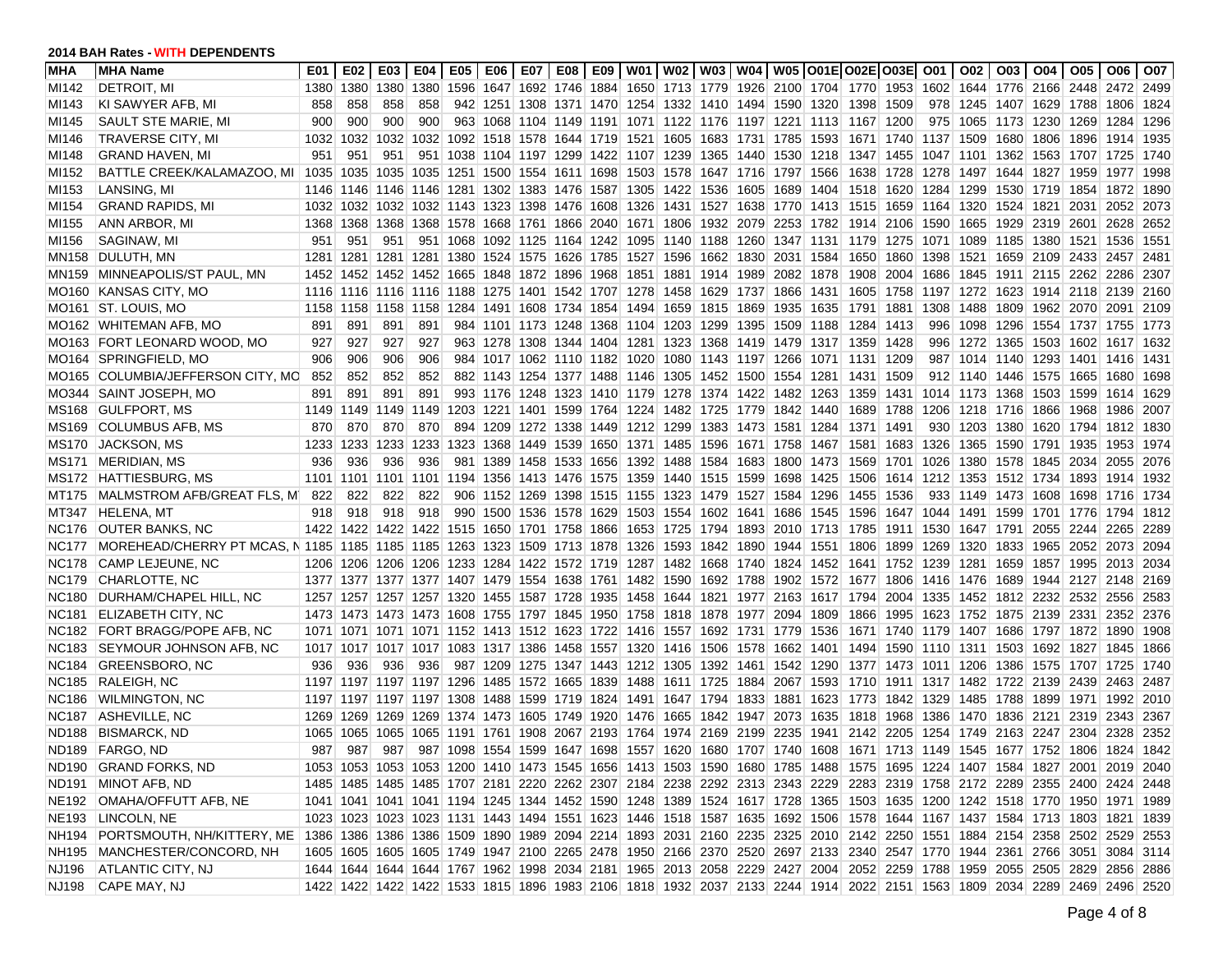| MHA               | <b>MHA Name</b>                                                                                            | E01  | E02 | E03       | E04 I          |                                                                                          | E05   E06 |  |  |                                                   |                                                                            |      | E07   E08   E09   W01   W02   W03   W04   W05   O01E  O02E   O03E  O01                                                  |           |                | O02 I | 003   004   005   006                          |           |      | O07    |
|-------------------|------------------------------------------------------------------------------------------------------------|------|-----|-----------|----------------|------------------------------------------------------------------------------------------|-----------|--|--|---------------------------------------------------|----------------------------------------------------------------------------|------|-------------------------------------------------------------------------------------------------------------------------|-----------|----------------|-------|------------------------------------------------|-----------|------|--------|
| MI142             | DETROIT, MI                                                                                                | 1380 |     | 1380 1380 | 1380           |                                                                                          |           |  |  |                                                   |                                                                            |      | 1596 1647 1692 1746 1884 1650 1713 1779 1926 2100 1704 1770 1953 1602 1644 1776 2166 2448 2472 2499                     |           |                |       |                                                |           |      |        |
| MI143             | KI SAWYER AFB, MI                                                                                          | 858  | 858 | 858       | 858            |                                                                                          |           |  |  |                                                   |                                                                            |      | 942 1251 1308 1371 1470 1254 1332 1410 1494 1590 1320 1398 1509                                                         |           |                |       | 978 1245 1407 1629 1788 1806                   |           |      | 1824   |
| MI145             | SAULT STE MARIE, MI                                                                                        | 900  | 900 | 900       | 900            |                                                                                          |           |  |  |                                                   |                                                                            |      | 963 1068 1104 1149 1191 1071 1122 1176 1197 1221 1113 1167 1200                                                         |           |                |       | 975 1065 1173 1230 1269 1284                   |           |      | 1296   |
| MI146             | <b>TRAVERSE CITY, MI</b>                                                                                   | 1032 |     | 1032 1032 |                | 1032 1092 1518 1578 1644 1719 1521 1605 1683 1731 1785                                   |           |  |  |                                                   |                                                                            | 1593 | 1671 1740 1137 1509                                                                                                     |           |                |       | 1680 1806                                      | 1896 1914 |      | 1935   |
| MI148             | <b>GRAND HAVEN, MI</b>                                                                                     | 951  | 951 | 951       |                | 951 1038 1104 1197 1299 1422 1107 1239 1365 1440 1530                                    |           |  |  |                                                   |                                                                            |      | 1218 1347 1455 1047 1101                                                                                                |           |                |       | 1362 1563 1707 1725                            |           |      | 1740   |
| MI152             | BATTLE CREEK/KALAMAZOO, MI   1035                                                                          |      |     |           |                |                                                                                          |           |  |  |                                                   | 1035 1035 1035 1251 1500 1554 1611 1698 1503 1578 1647 1716 1797 1566      |      |                                                                                                                         |           |                |       | 1638 1728 1278 1497 1644 1827 1959             |           | 1977 | 1998   |
| MI153             | LANSING, MI                                                                                                |      |     |           |                |                                                                                          |           |  |  |                                                   |                                                                            |      | 1146 1146 1146 1146 1281 1302 1383 1476 1587 1305 1422 1536 1605 1689 1404 1518 1620 1284 1299                          |           |                |       | 1530 1719 1854 1872                            |           |      | 1890   |
| MI154             | <b>GRAND RAPIDS, MI</b>                                                                                    |      |     |           |                |                                                                                          |           |  |  |                                                   |                                                                            |      | 1032 1032 1032 1032 1143 1323 1398 1476 1608 1326 1431 1527 1638 1770 1413 1515 1659 1164 1320 1524 1821 2031 2052      |           |                |       |                                                |           |      | 2073   |
| MI155             | ANN ARBOR, MI                                                                                              |      |     |           |                |                                                                                          |           |  |  |                                                   |                                                                            |      | 1368 1368 1368 1368 1578 1668 1761 1866 2040 1671 1806 1932 2079 2253 1782 1914 2106 1590 1665 1929 2319 2601 2628      |           |                |       |                                                |           |      | 2652   |
| MI156             | SAGINAW, MI                                                                                                | 951  | 951 | 951       |                |                                                                                          |           |  |  |                                                   |                                                                            |      | 951 1068 1092 1125 1164 1242 1095 1140 1188 1260 1347 1131 1179 1275 1071 1089 1185 1380 1521 1536                      |           |                |       |                                                |           |      | 1551   |
| MN158             | DULUTH, MN                                                                                                 | 1281 |     |           |                |                                                                                          |           |  |  |                                                   | 1281 1281 1281 1380 1524 1575 1626 1785 1527 1596 1662 1830 2031 1584      |      | 1650 1860                                                                                                               |           | 1398           |       | 1521 1659 2109 2433 2457                       |           |      | 2481   |
| MN159             | MINNEAPOLIS/ST PAUL, MN                                                                                    |      |     |           |                |                                                                                          |           |  |  |                                                   | 1452 1452 1452 1452 1665 1848 1872 1896 1968 1851 1881 1914 1989 2082      | 1878 |                                                                                                                         |           |                |       | 1908 2004 1686 1845 1911 2115 2262 2286        |           |      | 2307   |
| MO160             | <b>KANSAS CITY, MO</b>                                                                                     |      |     |           |                |                                                                                          |           |  |  |                                                   |                                                                            |      | 1116 1116 1116 1116 1188 1275 1401 1542 1707 1278 1458 1629 1737 1866 1431 1605 1758 1197 1272 1623 1914 2118 2139      |           |                |       |                                                |           |      | 2160   |
|                   | MO161 ST. LOUIS, MO                                                                                        |      |     |           |                |                                                                                          |           |  |  |                                                   |                                                                            |      | 1158 1158 1158 1158 1284 1491 1608 1734 1854 1494 1659 1815 1869 1935 1635 1791 1881 1308 1488 1809 1962 2070 2091      |           |                |       |                                                |           |      | 2109   |
|                   | MO162 WHITEMAN AFB, MO                                                                                     | 891  | 891 | 891       | 891            |                                                                                          |           |  |  | 984 1101 1173 1248 1368 1104 1203 1299 1395 1509  |                                                                            | 1188 | 1284                                                                                                                    | 1413      | 996            | 1098  | 1296 1554 1737 1755                            |           |      | 1773   |
|                   | MO163 FORT LEONARD WOOD, MO                                                                                | 927  | 927 | 927       | 927            |                                                                                          |           |  |  | 963 1278 1308 1344 1404 1281 1323 1368 1419 1479  |                                                                            | 1317 | 1359                                                                                                                    | 1428      | 996            |       | 1272 1365 1503 1602 1617                       |           |      | 1632   |
| MO164             | SPRINGFIELD, MO                                                                                            | 906  | 906 | 906       | 906            |                                                                                          |           |  |  | 984 1017 1062 1110 1182 1020 1080 1143 1197 1266  |                                                                            |      | 1071 1131 1209                                                                                                          |           |                |       | 987 1014 1140 1293 1401 1416                   |           |      | ∣ 1431 |
| MO165             | COLUMBIA/JEFFERSON CITY, MC                                                                                | 852  | 852 | 852       | 852            |                                                                                          |           |  |  |                                                   | 882 1143 1254 1377 1488 1146 1305 1452 1500 1554                           | 1281 | 1431 1509                                                                                                               |           |                |       | 912 1140 1446 1575 1665 1680                   |           |      | 1698   |
| MO344             | <b>SAINT JOSEPH, MO</b>                                                                                    | 891  | 891 | 891       | 891            |                                                                                          |           |  |  |                                                   |                                                                            |      | 993 1176 1248 1323 1410 1179 1278 1374 1422 1482 1263 1359 1431 1014 1173 1368 1503 1599 1614                           |           |                |       |                                                |           |      | 1629   |
| MS168             | <b>GULFPORT, MS</b>                                                                                        | 1149 |     |           | 1149 1149 1149 |                                                                                          |           |  |  |                                                   | 1203 1221 1401 1599 1764 1224 1482 1725 1779 1842 1440                     |      | 1689                                                                                                                    | 1788      |                |       | 1206 1218 1716 1866 1968 1986                  |           |      | 2007   |
| MS169             | <b>COLUMBUS AFB. MS</b>                                                                                    | 870  | 870 | 870       | 870            |                                                                                          |           |  |  | 894 1209 1272 1338 1449 1212 1299 1383 1473 1581  |                                                                            | 1284 | 1371  1491                                                                                                              |           |                |       | 930 1203 1380 1620 1794 1812 1830              |           |      |        |
| <b>MS170</b>      | <b>JACKSON, MS</b>                                                                                         | 1233 |     | 1233 1233 | 1233           |                                                                                          |           |  |  |                                                   | 1323 1368 1449 1539 1650 1371 1485 1596 1671 1758 1467                     |      |                                                                                                                         |           |                |       | 1581 1683 1326 1365 1590 1791 1935             |           | 1953 | 1974   |
| MS171             | MERIDIAN, MS                                                                                               | 936  | 936 | 936       | 936            |                                                                                          |           |  |  | 981 1389 1458 1533 1656 1392 1488 1584 1683 1800  |                                                                            | 1473 | 1569                                                                                                                    |           | 1701 1026 1380 |       | 1578 1845 2034                                 |           | 2055 | 2076   |
| MS172             | HATTIESBURG, MS                                                                                            | 1101 |     | 1101 1101 |                |                                                                                          |           |  |  |                                                   | 1101 1194 1356 1413 1476 1575 1359 1440 1515 1599 1698 1425 1506           |      |                                                                                                                         |           |                |       | 1614 1212 1353 1512 1734 1893 1914             |           |      | 1932   |
| MT175             | MALMSTROM AFB/GREAT FLS, M                                                                                 | 822  | 822 | 822       | 822            |                                                                                          |           |  |  |                                                   | 906 1152 1269 1398 1515 1155 1323 1479 1527 1584 1296                      |      | 1455                                                                                                                    | 1536      |                |       | 933 1149 1473 1608 1698 1716 1734              |           |      |        |
| MT347             | <b>HELENA, MT</b>                                                                                          | 918  | 918 | 918       | 918            |                                                                                          |           |  |  | 990 1500 1536 1578 1629 1503 1554 1602 1641 1686  |                                                                            | 1545 | 1596                                                                                                                    |           |                |       | 1647 1044 1491 1599 1701 1776 1794             |           |      | 1812   |
|                   | NC176 OUTER BANKS, NC                                                                                      |      |     |           |                |                                                                                          |           |  |  |                                                   | 1422 1422 1422 1422 1515 1650 1701 1758 1866 1653 1725 1794 1893 2010      |      | 1713 1785 1911 1530 1647 1791 2055 2244 2265                                                                            |           |                |       |                                                |           |      | 2289   |
| NC177             | MOREHEAD/CHERRY PT MCAS, N 1185 1185 1185 1185 1263 1323 1509 1713 1878 1326 1593 1842 1890 1944 1551 1806 |      |     |           |                |                                                                                          |           |  |  |                                                   |                                                                            |      |                                                                                                                         | 1899 1269 |                | 1320  | 1833 1965 2052 2073                            |           |      | 2094   |
| <b>NC178</b>      | CAMP LEJEUNE, NC                                                                                           |      |     |           |                |                                                                                          |           |  |  |                                                   |                                                                            |      | 1206 1206 1206 1206 1233 1284 1422 1572 1719 1287 1482 1668 1740 1824 1452 1641 1752 1239                               |           |                | 1281  | 1659 1857 1995 2013                            |           |      | 2034   |
| <b>NC179</b>      | CHARLOTTE, NC                                                                                              |      |     |           |                |                                                                                          |           |  |  |                                                   |                                                                            |      | 1377 1377 1377 1377 1407 1479 1554 1638 1761 1482 1590 1692 1788 1902 1572 1677 1806 1416 1476 1689 1944 2127 2148      |           |                |       |                                                |           |      | 2169   |
| <b>NC180</b>      | DURHAM/CHAPEL HILL, NC                                                                                     |      |     |           |                |                                                                                          |           |  |  |                                                   |                                                                            |      | 1257 1257 1257 1257 1320 1455 1587 1728 1935 1458 1644 1821 1977 2163 1617 1794 2004 1335 1452 1812 2232 2532 2556      |           |                |       |                                                |           |      | 2583   |
| NC <sub>181</sub> | ELIZABETH CITY, NC                                                                                         |      |     |           |                |                                                                                          |           |  |  |                                                   | 1473 1473 1473 1473 1608 1755 1797 1845 1950 1758 1818 1878 1977 2094 1809 |      | 1866                                                                                                                    |           |                |       | 1995   1623   1752   1875   2139   2331   2352 |           |      | 2376   |
| NC182             | <b>FORT BRAGG/POPE AFB, NC</b>                                                                             | 1071 |     |           |                | 1071   1071   1071   1152   1413   1512   1623   1722   1416   1557   1692   1731   1779 |           |  |  |                                                   |                                                                            | 1536 | 1671 1740 1179 1407                                                                                                     |           |                |       | 1686   1797   1872   1890                      |           |      | 1908   |
| <b>NC183</b>      | SEYMOUR JOHNSON AFB, NC                                                                                    |      |     |           |                |                                                                                          |           |  |  |                                                   |                                                                            |      | 1017 1017 1017 1017 1083 1317 1386 1458 1557 1320 1416 1506 1578 1662 1401 1494 1590 1110 1311 1503 1692 1827 1845      |           |                |       |                                                |           |      | 1866   |
| <b>NC184</b>      | <b>GREENSBORO, NC</b>                                                                                      | 936  | 936 | 936       | 936            |                                                                                          |           |  |  |                                                   |                                                                            |      | 987 1209 1275 1347 1443 1212 1305 1392 1461 1542 1290 1377 1473 1011 1206 1386 1575 1707 1725                           |           |                |       |                                                |           |      | 1740   |
| <b>NC185</b>      | <b>RALEIGH, NC</b>                                                                                         |      |     |           |                | 1197 1197 1197 1197 1296 1485 1572 1665 1839 1488 1611 1725 1884 2067                    |           |  |  |                                                   |                                                                            |      | 1593 1710 1911 1317 1482 1722 2139 2439 2463                                                                            |           |                |       |                                                |           |      | 2487   |
| <b>NC186</b>      | WILMINGTON, NC                                                                                             |      |     |           |                | 1197 1197 1197 1197 1308 1488 1599 1719 1824 1491 1647 1794 1833 1881                    |           |  |  |                                                   |                                                                            |      | 1623 1773 1842 1329 1485 1788 1899 1971 1992                                                                            |           |                |       |                                                |           |      | 2010   |
| <b>NC187</b>      | ASHEVILLE, NC                                                                                              | 1269 |     |           | 1269 1269 1269 |                                                                                          |           |  |  | 1374 1473 1605 1749 1920 1476 1665 1842 1947 2073 |                                                                            | 1635 |                                                                                                                         |           |                |       | 1818 1968 1386 1470 1836 2121 2319 2343        |           |      | 2367   |
| <b>ND188</b>      | <b>BISMARCK, ND</b>                                                                                        | 1065 |     |           |                | 1065 1065 1065 1191 1761 1908 2067 2193 1764 1974 2169 2199 2235                         |           |  |  |                                                   |                                                                            | 1941 |                                                                                                                         |           |                |       | 2142 2205 1254 1749 2163 2247 2304             |           | 2328 | 2352   |
|                   | ND189 FARGO, ND                                                                                            | 987  | 987 | 987       |                |                                                                                          |           |  |  |                                                   |                                                                            |      | 987 1098 1554 1599 1647 1698 1557 1620 1680 1707 1740 1608 1671 1713 1149 1545 1677 1752 1806 1824 1842                 |           |                |       |                                                |           |      |        |
|                   | ND190 GRAND FORKS, ND                                                                                      |      |     |           |                |                                                                                          |           |  |  |                                                   |                                                                            |      | 1053 1053 1053 1053 1200 1410 1473 1545 1656 1413 1503 1590 1680 1785 1488 1575 1695 1224 1407 1584 1827 2001 2019 2040 |           |                |       |                                                |           |      |        |
|                   | ND191 MINOT AFB, ND                                                                                        |      |     |           |                |                                                                                          |           |  |  |                                                   |                                                                            |      | 1485 1485 1485 1485 1707 2181 2220 2262 2307 2184 2238 2292 2313 2343 2229 2283 2319 1758 2172 2289 2355 2400 2424 2448 |           |                |       |                                                |           |      |        |
|                   | NE192 OMAHA/OFFUTT AFB, NE                                                                                 |      |     |           |                |                                                                                          |           |  |  |                                                   |                                                                            |      | 1041 1041 1041 1041 1194 1245 1344 1452 1590 1248 1389 1524 1617 1728 1365 1503 1635 1200 1242 1518 1770 1950 1971 1989 |           |                |       |                                                |           |      |        |
|                   | NE193 LINCOLN, NE                                                                                          |      |     |           |                |                                                                                          |           |  |  |                                                   |                                                                            |      | 1023 1023 1023 1023 1131 1443 1494 1551 1623 1446 1518 1587 1635 1692 1506 1578 1644 1167 1437 1584 1713 1803 1821 1839 |           |                |       |                                                |           |      |        |
|                   | NH194 PORTSMOUTH, NH/KITTERY, ME                                                                           |      |     |           |                |                                                                                          |           |  |  |                                                   |                                                                            |      | 1386 1386 1386 1386 1509 1890 1989 2094 2214 1893 2031 2160 2235 2325 2010 2142 2250 1551 1884 2154 2358 2502 2529 2553 |           |                |       |                                                |           |      |        |
|                   | NH195 MANCHESTER/CONCORD, NH                                                                               |      |     |           |                |                                                                                          |           |  |  |                                                   |                                                                            |      | 1605 1605 1605 1605 1749 1947 2100 2265 2478 1950 2166 2370 2520 2697 2133 2340 2547 1770 1944 2361 2766 3051 3084 3114 |           |                |       |                                                |           |      |        |
| NJ196             | <b>ATLANTIC CITY, NJ</b>                                                                                   |      |     |           |                |                                                                                          |           |  |  |                                                   |                                                                            |      | 1644 1644 1644 1644 1767 1962 1998 2034 2181 1965 2013 2058 2229 2427 2004 2052 2259 1788 1959 2055 2505 2829 2856 2886 |           |                |       |                                                |           |      |        |
|                   | NJ198 CAPE MAY, NJ                                                                                         |      |     |           |                |                                                                                          |           |  |  |                                                   |                                                                            |      | 1422 1422 1422 1422 1533 1815 1896 1983 2106 1818 1932 2037 2133 2244 1914 2022 2151 1563 1809 2034 2289 2469 2496 2520 |           |                |       |                                                |           |      |        |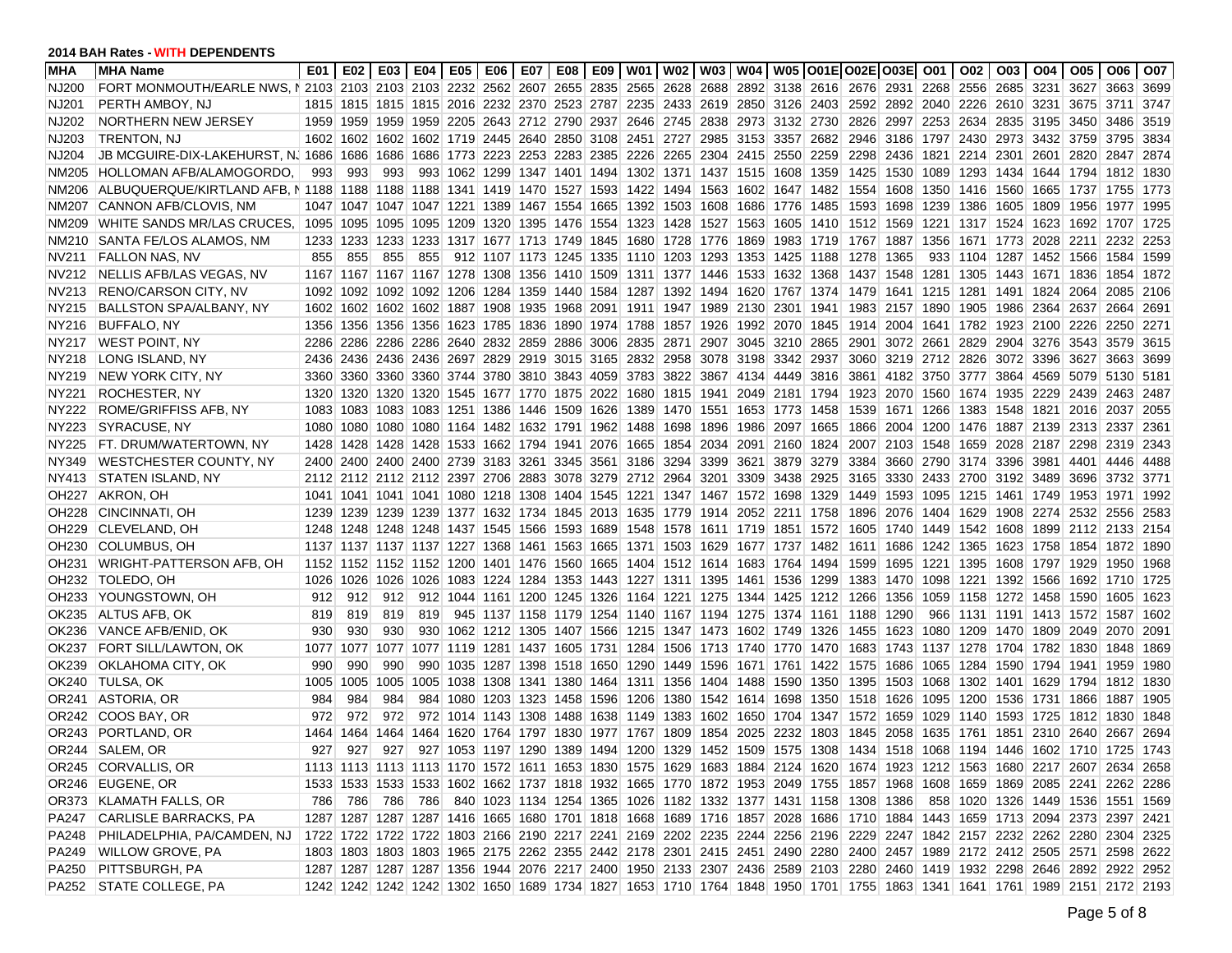| <b>MHA</b>        | <b>MHA Name</b>                                                                                                                                     | E01  |      |           |     |  |  |                                                                       |  |                                                                            |      | E02   E03   E04   E05   E06   E07   E08   E09   W01   W02   W03   W04   W05  O01E O02E O03E  O01   O02   O03   O04 |      |                |  |                                          | 005 006   |                                                                                                                         | O07    |
|-------------------|-----------------------------------------------------------------------------------------------------------------------------------------------------|------|------|-----------|-----|--|--|-----------------------------------------------------------------------|--|----------------------------------------------------------------------------|------|--------------------------------------------------------------------------------------------------------------------|------|----------------|--|------------------------------------------|-----------|-------------------------------------------------------------------------------------------------------------------------|--------|
| NJ200             | FORT MONMOUTH/EARLE NWS. N 2103 2103 2103 2103 2232 2562 2607 2655 2655 2655 2628 2688 2892 3138 2616 2676 2931 2268 2556 2685 3231 3627 3663 3699  |      |      |           |     |  |  |                                                                       |  |                                                                            |      |                                                                                                                    |      |                |  |                                          |           |                                                                                                                         |        |
| NJ201             | PERTH AMBOY, NJ                                                                                                                                     |      |      |           |     |  |  |                                                                       |  |                                                                            |      | 1815 1815 1815 1815 2016 2232 2370 2523 2787 2235 2433 2619 2850 3126 2403 2592 2892 2040 2226 2610 3231           |      |                |  |                                          | 3675 3711 |                                                                                                                         | 3747   |
| NJ202             | NORTHERN NEW JERSEY                                                                                                                                 | 1959 |      |           |     |  |  |                                                                       |  | 1959 1959 1959 2205 2643 2712 2790 2937 2646 2745 2838 2973 3132 2730      |      |                                                                                                                    |      |                |  | 2826 2997 2253 2634 2835 3195 3450 3486  |           |                                                                                                                         | 3519   |
| NJ203             | TRENTON, NJ                                                                                                                                         |      |      |           |     |  |  |                                                                       |  | 1602 1602 1602 1602 1719 2445 2640 2850 3108 2451 2727 2985 3153 3357 2682 |      |                                                                                                                    |      |                |  | 2946 3186 1797 2430 2973 3432 3759 3795  |           |                                                                                                                         | 3834   |
| NJ204             | JB MCGUIRE-DIX-LAKEHURST, N. 1686 1686 1686 1686 1773 2223 2253 2283 2385 2226 2265 2304 2415 2550 J                                                |      |      |           |     |  |  |                                                                       |  |                                                                            | 2259 |                                                                                                                    |      |                |  | 2298 2436 1821 2214 2301 2601 2820 2847  |           |                                                                                                                         | 2874   |
| NM205             | HOLLOMAN AFB/ALAMOGORDO.                                                                                                                            | 993  | 993  | 993       |     |  |  |                                                                       |  | 993 1062 1299 1347 1401 1494 1302 1371 1437 1515 1608 1359                 |      | 1425 1530 1089 1293 1434 1644 1794 1812                                                                            |      |                |  |                                          |           |                                                                                                                         | 1830   |
| NM206             | ALBUQUERQUE/KIRTLAND AFB, N 1188 1188 1188 1188 1341 1419 1470 1527 1593 1422 1494 1563 1602 1647 1482                                              |      |      |           |     |  |  |                                                                       |  |                                                                            |      | 1554                                                                                                               |      |                |  | 1608 1350 1416 1560 1665 1737 1755       |           |                                                                                                                         | 1773   |
| NM207             | CANNON AFB/CLOVIS, NM                                                                                                                               |      |      |           |     |  |  |                                                                       |  | 1047 1047 1047 1047 1221 1389 1467 1554 1665 1392 1503 1608 1686 1776 1485 |      | 1593 1698 1239 1386 1605 1809 1956 1977                                                                            |      |                |  |                                          |           |                                                                                                                         | 1995   |
| NM209             | WHITE SANDS MR/LAS CRUCES, 1095 1095 1095 1095 1209 1320 1395 1476 1554 1323 1428 1527 1563 1605 1410 1512 1569 1221 1317 1524 1623 1692 1707 1725  |      |      |           |     |  |  |                                                                       |  |                                                                            |      |                                                                                                                    |      |                |  |                                          |           |                                                                                                                         |        |
| NM210             | SANTA FE/LOS ALAMOS, NM                                                                                                                             |      |      |           |     |  |  |                                                                       |  | 1233 1233 1233 1233 1317 1677 1713 1749 1845 1680 1728 1776 1869 1983 1719 |      | 1767  1887  1356  1671  1773  2028  2211  2232                                                                     |      |                |  |                                          |           |                                                                                                                         | 2253   |
| NV211             | <b>FALLON NAS, NV</b>                                                                                                                               | 855  | 855  | 855       | 855 |  |  | 912 1107 1173 1245 1335 1110 1203 1293 1353 1425                      |  |                                                                            | 1188 | 1278                                                                                                               | 1365 |                |  | 933 1104 1287 1452 1566 1584             |           |                                                                                                                         | 1599   |
| NV212             | NELLIS AFB/LAS VEGAS, NV                                                                                                                            |      |      |           |     |  |  |                                                                       |  |                                                                            |      | 1167 1167 1167 1167 1278 1308 1356 1410 1509 1311 1377 1446 1533 1632 1368 1437 1548 1281 1305 1443 1671 1836 1854 |      |                |  |                                          |           |                                                                                                                         | 1872   |
| NV213             | <b>RENO/CARSON CITY, NV</b>                                                                                                                         | 1092 |      |           |     |  |  |                                                                       |  | 1092 1092 1092 1206 1284 1359 1440 1584 1287 1392 1494 1620 1767 1374      |      | 1479                                                                                                               |      |                |  | 1641  1215  1281  1491  1824  2064  2085 |           |                                                                                                                         | 2106   |
| NY215             | <b>BALLSTON SPA/ALBANY, NY</b>                                                                                                                      |      |      |           |     |  |  | 1602 1602 1602 1602 1887 1908 1935 1968 2091 1911 1947 1989 2130 2301 |  |                                                                            | 1941 |                                                                                                                    |      |                |  | 1983 2157 1890 1905 1986 2364 2637 2664  |           |                                                                                                                         | 2691   |
| NY216             | BUFFALO, NY                                                                                                                                         |      |      |           |     |  |  |                                                                       |  | 1356 1356 1356 1356 1623 1785 1836 1890 1974 1788 1857 1926 1992 2070      | 1845 |                                                                                                                    |      |                |  | 1914 2004 1641 1782 1923 2100 2226 2250  |           |                                                                                                                         | 2271   |
| NY217             | <b>WEST POINT, NY</b>                                                                                                                               | 2286 |      |           |     |  |  |                                                                       |  | 2286 2286 2286 2640 2832 2859 2886 3006 2835 2871 2907 3045 3210 2865      |      | 2901                                                                                                               |      |                |  | 3072 2661 2829 2904 3276 3543 3579       |           |                                                                                                                         | 3615   |
| NY218             | LONG ISLAND, NY                                                                                                                                     |      |      |           |     |  |  |                                                                       |  | 2436 2436 2436 2436 2697 2829 2919 3015 3165 2832 2958 3078 3198 3342      | 2937 | 3060                                                                                                               |      |                |  | 3219 2712 2826 3072 3396 3627 3663       |           |                                                                                                                         | 3699   |
| NY219             | <b>NEW YORK CITY, NY</b>                                                                                                                            |      |      |           |     |  |  | 3360 3360 3360 3360 3744 3780 3810 3843 4059 3783 3822 3867 4134 4449 |  |                                                                            | 3816 | 3861                                                                                                               |      |                |  | 4182 3750 3777 3864 4569 5079 5130       |           |                                                                                                                         | 5181   |
| NY221             | ROCHESTER, NY                                                                                                                                       |      |      |           |     |  |  | 1320 1320 1320 1320 1345 1677 1770 1875 2022 1680 1815 1941 2049 2181 |  |                                                                            | 1794 | 1923                                                                                                               |      |                |  | 2070 1560 1674 1935 2229 2439 2463       |           |                                                                                                                         | 2487   |
| NY222             | ROME/GRIFFISS AFB. NY                                                                                                                               | 1083 |      |           |     |  |  |                                                                       |  | 1083 1083 1083 1251 1386 1446 1509 1626 1389 1470 1551 1653 1773 1458      |      |                                                                                                                    |      |                |  | 1539 1671 1266 1383 1548 1821 2016 2037  |           |                                                                                                                         | 2055   |
| NY223             | <b>SYRACUSE, NY</b>                                                                                                                                 |      |      |           |     |  |  |                                                                       |  | 1080 1080 1080 1080 1164 1482 1632 1791 1962 1488 1698 1896 1986 2097 1665 |      | 1866                                                                                                               |      |                |  | 2004  1200  1476  1887  2139  2313  2337 |           |                                                                                                                         | 2361   |
| NY225             | FT. DRUM/WATERTOWN, NY                                                                                                                              |      |      |           |     |  |  | 1428 1428 1428 1428 1533 1662 1794 1941 2076 1665 1854 2034 2091 2160 |  |                                                                            | 1824 | 2007 2103 1548 1659 2028 2187 2298 2319                                                                            |      |                |  |                                          |           |                                                                                                                         | -2343  |
| NY349             | <b>WESTCHESTER COUNTY, NY</b>                                                                                                                       |      |      |           |     |  |  |                                                                       |  | 2400 2400 2400 2400 2739 3183 3261 3345 3561 3186 3294 3399 3621 3879 3279 |      | 3384                                                                                                               |      |                |  | 3660 2790 3174 3396 3981 4401 4446       |           |                                                                                                                         | 4488   |
| NY413             | <b>STATEN ISLAND, NY</b>                                                                                                                            |      |      |           |     |  |  | 2112 2112 2112 2112 2397 2706 2883 3078 3279 2712 2964 3201 3309 3438 |  |                                                                            | 2925 | 3165                                                                                                               |      |                |  | 3330 2433 2700 3192 3489 3696 3732       |           |                                                                                                                         | 3771   |
| OH <sub>227</sub> | AKRON, OH                                                                                                                                           |      |      |           |     |  |  | 1041 1041 1041 1041 1080 1218 1308 1404 1545 1221 1347 1467 1572 1698 |  |                                                                            |      | 1329 1449                                                                                                          |      |                |  | 1593 1095 1215 1461 1749 1953 1971       |           |                                                                                                                         | 1992   |
| OH <sub>228</sub> | CINCINNATI, OH                                                                                                                                      |      |      |           |     |  |  | 1239 1239 1239 1239 1377 1632 1734 1845 2013 1635 1779 1914 2052 2211 |  |                                                                            | 1758 | 1896                                                                                                               |      |                |  | 2076 1404 1629 1908 2274 2532 2556       |           |                                                                                                                         | 2583   |
| OH <sub>229</sub> | CLEVELAND, OH                                                                                                                                       |      |      |           |     |  |  |                                                                       |  | 1248 1248 1248 1248 1437 1545 1566 1593 1689 1548 1578 1611 1719 1851 1572 |      | 1605                                                                                                               |      |                |  | 1740 1449 1542 1608 1899 2112 2133       |           |                                                                                                                         | 2154   |
| OH230             | <b>COLUMBUS, OH</b>                                                                                                                                 |      |      |           |     |  |  |                                                                       |  | 1137 1137 1137 1137 1227 1368 1461 1563 1665 1371 1503 1629 1677 1737 1482 |      |                                                                                                                    |      |                |  | 1611 1686 1242 1365 1623 1758 1854 1872  |           |                                                                                                                         | 1890   |
| OH <sub>231</sub> | WRIGHT-PATTERSON AFB, OH                                                                                                                            |      |      |           |     |  |  |                                                                       |  | 1152 1152 1152 1152 1200 1401 1476 1560 1665 1404 1512 1614 1683 1764 1494 |      | 1599                                                                                                               |      |                |  | 1695 1221 1395 1608 1797 1929 1950       |           |                                                                                                                         | 1968   |
| OH232             | TOLEDO, OH                                                                                                                                          | 1026 |      |           |     |  |  |                                                                       |  | 1026 1026 1026 1083 1224 1284 1353 1443 1227 1311 1395 1461 1536 1299      |      | 1383                                                                                                               |      |                |  | 1470 1098 1221 1392 1566 1692 1710       |           |                                                                                                                         | 1725   |
| OH233             | YOUNGSTOWN, OH                                                                                                                                      | 912  | 912  | 912       |     |  |  |                                                                       |  | 912 1044 1161 1200 1245 1326 1164 1221 1275 1344 1425 1212                 |      | 1266                                                                                                               |      |                |  | 1356 1059 1158 1272 1458 1590 1605       |           |                                                                                                                         | 1623   |
| OK235             | ALTUS AFB, OK                                                                                                                                       | 819  | 819  | 819       | 819 |  |  |                                                                       |  |                                                                            |      | 945 1137 1158 1179 1254 1140 1167 1194 1275 1374 1161 1188 1290                                                    |      |                |  | 966 1131 1191 1413 1572 1587             |           |                                                                                                                         | ∣ 1602 |
| OK236             | VANCE AFB/ENID, OK                                                                                                                                  | 930  | 930  | 930       |     |  |  |                                                                       |  | 930 1062 1212 1305 1407 1566 1215 1347 1473 1602 1749                      | 1326 | 1455  1623  1080  1209  1470  1809  2049                                                                           |      |                |  |                                          |           | 2070                                                                                                                    | 2091   |
| OK237             | FORT SILL/LAWTON, OK                                                                                                                                | 1077 |      |           |     |  |  |                                                                       |  | 1077 1077 1077 1119 1281 1437 1605 1731 1284 1506 1713 1740 1770 1470      |      | 1683 1743 1137 1278 1704 1782 1830 1848                                                                            |      |                |  |                                          |           |                                                                                                                         | 1869   |
| OK239             | OKLAHOMA CITY, OK                                                                                                                                   | 990  | 990  | 990       | 990 |  |  | 1035 1287 1398 1518 1650 1290 1449 1596 1671 1761                     |  |                                                                            | 1422 | 1575                                                                                                               | 1686 |                |  | 1065 1284 1590 1794 1941 1959            |           |                                                                                                                         | 1980   |
|                   | OK240 TULSA, OK                                                                                                                                     | 1005 |      | 1005 1005 |     |  |  | 1005 1038 1308 1341 1380 1464 1311 1356 1404 1488 1590                |  |                                                                            |      | 1350 1395                                                                                                          |      |                |  | 1503 1068 1302 1401 1629 1794 1812       |           |                                                                                                                         | 1830   |
| OR241             | ASTORIA, OR                                                                                                                                         | 984  | 984  | 984       |     |  |  |                                                                       |  |                                                                            |      | 984 1080 1203 1323 1458 1596 1206 1380 1542 1614 1698 1350 1518 1626 1095 1200 1536 1731 1866 1887                 |      |                |  |                                          |           |                                                                                                                         | 1905   |
|                   | OR242 COOS BAY, OR                                                                                                                                  | 972  | 972  | 972       |     |  |  |                                                                       |  | 972 1014 1143 1308 1488 1638 1149 1383 1602 1650 1704 1347                 |      |                                                                                                                    |      |                |  | 1572 1659 1029 1140 1593 1725 1812 1830  |           |                                                                                                                         | 1848   |
|                   | OR243 PORTLAND, OR                                                                                                                                  | 1464 | 1464 |           |     |  |  | 1464 1464 1620 1764 1797 1830 1977 1767 1809 1854 2025 2232           |  |                                                                            | 1803 | 1845                                                                                                               |      | 2058 1635 1761 |  | 1851 2310 2640                           |           | 2667                                                                                                                    | 2694   |
|                   | OR244 SALEM, OR                                                                                                                                     | 927  | 927  | 927       |     |  |  |                                                                       |  |                                                                            |      |                                                                                                                    |      |                |  |                                          |           | 927 1053 1197 1290 1389 1494 1200 1329 1452 1509 1575 1308 1434 1518 1068 1194 1446 1602 1710 1725 1743                 |        |
|                   | OR245 CORVALLIS, OR                                                                                                                                 |      |      |           |     |  |  |                                                                       |  |                                                                            |      |                                                                                                                    |      |                |  |                                          |           | 1113 1113 1113 1113 1170 1572 1611 1653 1830 1575 1629 1683 1884 2124 1620 1674 1923 1212 1563 1680 2217 2607 2634 2658 |        |
|                   | OR246 EUGENE, OR                                                                                                                                    |      |      |           |     |  |  |                                                                       |  |                                                                            |      |                                                                                                                    |      |                |  |                                          |           | 1533 1533 1533 1533 1602 1662 1737 1818 1932 1665 1770 1872 1953 2049 1755 1857 1968 1608 1659 1869 2085 2241 2262 2286 |        |
|                   | OR373 KLAMATH FALLS, OR                                                                                                                             | 786  |      |           |     |  |  |                                                                       |  |                                                                            |      | 786 786 786 840 1023 1134 1254 1365 1026 1182 1332 1377 1431 1158 1308 1386                                        |      |                |  |                                          |           | 858 1020 1326 1449 1536 1551 1569                                                                                       |        |
|                   | PA247 CARLISLE BARRACKS, PA                                                                                                                         |      |      |           |     |  |  |                                                                       |  |                                                                            |      |                                                                                                                    |      |                |  |                                          |           | 1287 1287 1287 1287 1416 1665 1680 1701 1818 1668 1689 1716 1857 2028 1686 1710 1884 1443 1659 1713 2094 2373 2397 2421 |        |
| PA248             | PHILADELPHIA, PA/CAMDEN, NJ 1722 1722 1722 1722 1803 2166 2190 2217 2241 2169 2202 2235 2244 2256 2196 2229 2247 1842 2157 2232 2262 2280 2304 2325 |      |      |           |     |  |  |                                                                       |  |                                                                            |      |                                                                                                                    |      |                |  |                                          |           |                                                                                                                         |        |
| PA249             | <b>WILLOW GROVE, PA</b>                                                                                                                             |      |      |           |     |  |  |                                                                       |  |                                                                            |      |                                                                                                                    |      |                |  |                                          |           | 1803 1803 1803 1803 1965 2175 2262 2355 2442 2178 2301 2415 2451 2490 2280 2400 2457 1989 2172 2412 2505 2571 2598 2622 |        |
| PA250             | PITTSBURGH, PA                                                                                                                                      |      |      |           |     |  |  |                                                                       |  |                                                                            |      |                                                                                                                    |      |                |  |                                          |           | 1287 1287 1287 1287 1356 1944 2076 2217 2400 1950 2133 2307 2436 2589 2103 2280 2460 1419 1932 2298 2646 2892 2922 2952 |        |
|                   | PA252 STATE COLLEGE, PA                                                                                                                             |      |      |           |     |  |  |                                                                       |  |                                                                            |      |                                                                                                                    |      |                |  |                                          |           | 1242 1242 1242 1242 1302 1650 1689 1734 1827 1653 1710 1764 1848 1950 1701 1755 1863 1341 1641 1761 1989 2151 2172 2193 |        |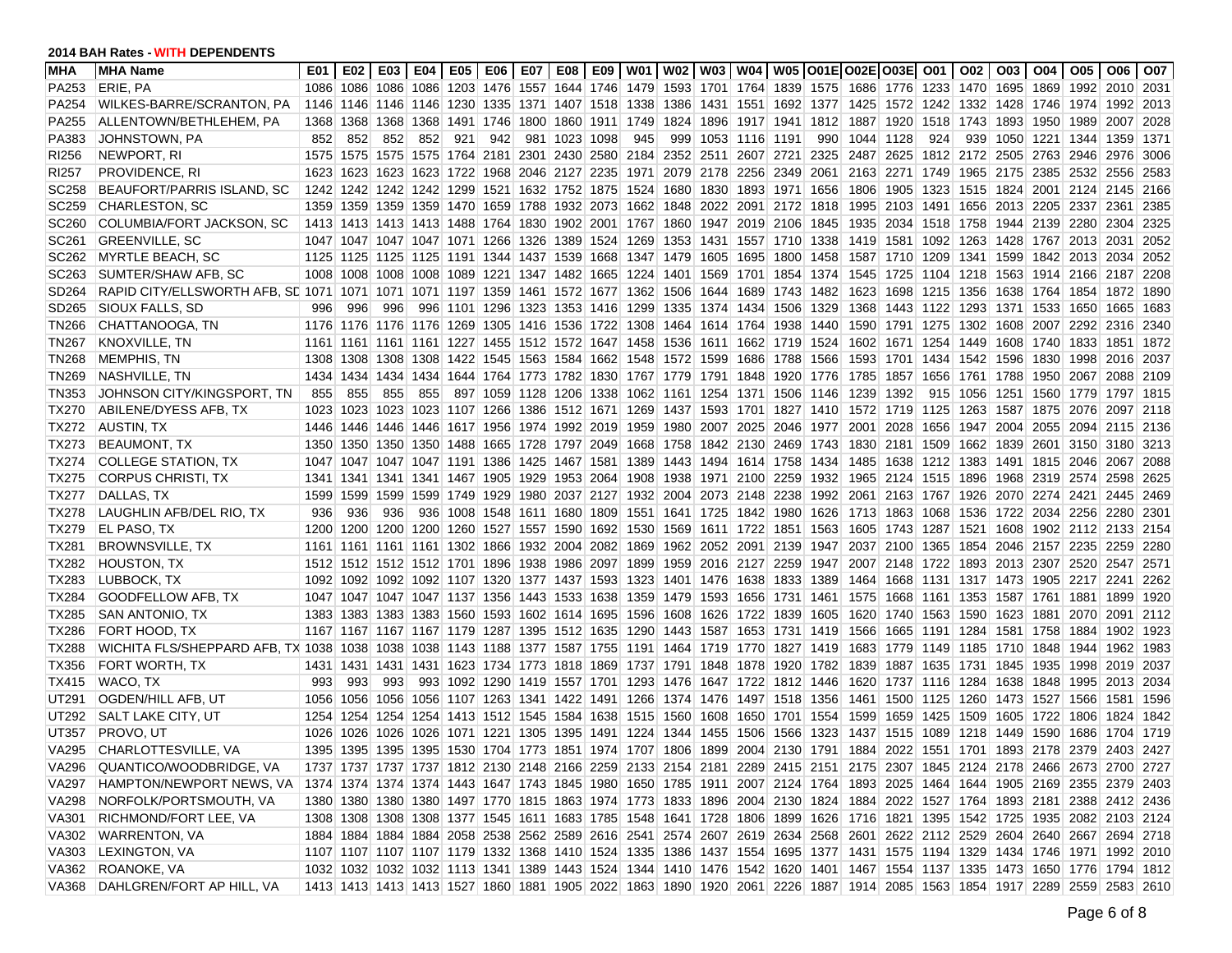| <b>MHA</b>        | <b>MHA Name</b>                                                                                                                                        | E01  | E02 |     | E03   E04      |     |     |               |     |                                                                            |                                                                                 |      | E05   E06   E07   E08   E09   W01   W02   W03   W04   W05  O01E O02E O03E  O01   O02                                    |           |           |      | 003   004   005   006                    |           | O07  |
|-------------------|--------------------------------------------------------------------------------------------------------------------------------------------------------|------|-----|-----|----------------|-----|-----|---------------|-----|----------------------------------------------------------------------------|---------------------------------------------------------------------------------|------|-------------------------------------------------------------------------------------------------------------------------|-----------|-----------|------|------------------------------------------|-----------|------|
| PA253             | ERIE, PA                                                                                                                                               |      |     |     |                |     |     |               |     |                                                                            |                                                                                 |      | 1086 1086 1086 1086 1203 1476 1557 1644 1746 1479 1593 1701 1764 1839 1575 1686 1776 1233 1470 1695 1869 1992 2010 2031 |           |           |      |                                          |           |      |
| PA254             | WILKES-BARRE/SCRANTON, PA                                                                                                                              |      |     |     |                |     |     |               |     |                                                                            |                                                                                 |      | 1146 1146 1146 1146 1230 1335 1371 1407 1518 1338 1386 1431 1551 1692 1377 1425 1572 1242 1332 1428 1746 1974 1992      |           |           |      |                                          |           | 2013 |
| PA255             | ALLENTOWN/BETHLEHEM, PA                                                                                                                                |      |     |     |                |     |     |               |     | 1368 1368 1368 1368 1491 1746 1800 1860 1911 1749 1824 1896 1917 1941      |                                                                                 | 1812 | 1887                                                                                                                    |           |           |      | 1920 1518 1743 1893 1950 1989 2007       |           | 2028 |
| PA383             | JOHNSTOWN, PA                                                                                                                                          | 852  | 852 | 852 | 852            | 921 | 942 | 981 1023 1098 | 945 | 999 1053 1116 1191                                                         |                                                                                 | 990  | 1044                                                                                                                    | 1128      | 924       | 939  | 1050 1221 1344 1359                      |           | 1371 |
| RI256             | NEWPORT, RI                                                                                                                                            |      |     |     |                |     |     |               |     | 1575 1575 1575 1575 1764 2181 2301 2430 2580 2184 2352 2511 2607 2721      |                                                                                 |      | 2325 2487 2625                                                                                                          |           |           |      | 1812 2172 2505 2763 2946 2976            |           | 3006 |
| RI257             | <b>PROVIDENCE, RI</b>                                                                                                                                  |      |     |     |                |     |     |               |     | 1623 1623 1623 1623 1722 1968 2046 2127 2235 1971 2079 2178 2256 2349      |                                                                                 |      | 2061 2163 2271 1749 1965 2175 2385 2532 2556                                                                            |           |           |      |                                          |           | 2583 |
| SC258             | BEAUFORT/PARRIS ISLAND, SC                                                                                                                             |      |     |     |                |     |     |               |     | 1242 1242 1242 1242 1299 1521 1632 1752 1875 1524 1680 1830 1893 1971      |                                                                                 | 1656 |                                                                                                                         |           |           |      | 1806 1905 1323 1515 1824 2001 2124 2145  |           | 2166 |
| SC <sub>259</sub> | <b>CHARLESTON, SC</b>                                                                                                                                  |      |     |     |                |     |     |               |     |                                                                            | 1359 1359 1359 1359 1470 1659 1788 1932 2073 1662 1848 2022 2091 2172 1818      |      |                                                                                                                         |           |           |      | 1995 2103 1491 1656 2013 2205 2337 2361  |           | 2385 |
| SC <sub>260</sub> | COLUMBIA/FORT JACKSON, SC                                                                                                                              |      |     |     |                |     |     |               |     |                                                                            | 1413 1413 1413 1413 1488 1764 1830 1902 2001 1767 1860 1947 2019 2106 1845      |      |                                                                                                                         |           |           |      | 1935 2034 1518 1758 1944 2139 2280 2304  |           | 2325 |
| SC <sub>261</sub> | <b>GREENVILLE, SC</b>                                                                                                                                  |      |     |     |                |     |     |               |     |                                                                            | 1047 1047 1047 1047 1071 1266 1326 1389 1524 1269 1353 1431 1557 1710 1338      |      | 1419 1581 1092 1263 1428 1767 2013 2031                                                                                 |           |           |      |                                          |           | 2052 |
| SC262             | <b>MYRTLE BEACH, SC</b>                                                                                                                                |      |     |     |                |     |     |               |     |                                                                            | 1125 1125 1125 1125 1191 1344 1437 1539 1668 1347 1479 1605 1695 1800           | 1458 |                                                                                                                         |           |           |      | 1587 1710 1209 1341 1599 1842 2013 2034  |           | 2052 |
| SC <sub>263</sub> | SUMTER/SHAW AFB, SC                                                                                                                                    |      |     |     |                |     |     |               |     |                                                                            | 1008 1008 1008 1008 1089 1221 1347 1482 1665 1224 1401 1569 1701 1854 1374      |      | 1545                                                                                                                    |           |           |      | 1725 1104 1218 1563 1914 2166 2187       |           | 2208 |
| SD264             | RAPID CITY/ELLSWORTH AFB, SE 1071 1071 1071 1071 1197 1359 1461 1572 1677 1362 1506 1644 1689 1743 1482                                                |      |     |     |                |     |     |               |     |                                                                            |                                                                                 |      | 1623                                                                                                                    |           |           |      | 1698 1215 1356 1638 1764 1854 1872       |           | 1890 |
| SD <sub>265</sub> | SIOUX FALLS, SD                                                                                                                                        | 996  | 996 | 996 |                |     |     |               |     | 996 1101 1296 1323 1353 1416 1299 1335 1374 1434 1506                      |                                                                                 | 1329 | 1368                                                                                                                    |           |           |      | 1443 1122 1293 1371 1533 1650 1665       |           | 1683 |
| <b>TN266</b>      | CHATTANOOGA, TN                                                                                                                                        |      |     |     |                |     |     |               |     | 1176 1176 1176 1176 1269 1305 1416 1536 1722 1308 1464 1614 1764 1938      |                                                                                 | 1440 |                                                                                                                         |           |           |      | 1590 1791 1275 1302 1608 2007 2292 2316  |           | 2340 |
| <b>TN267</b>      | <b>KNOXVILLE, TN</b>                                                                                                                                   |      |     |     |                |     |     |               |     | 1161 1161 1161 1161 1227 1455 1512 1572 1647 1458 1536 1611 1662 1719      |                                                                                 | 1524 | 1602                                                                                                                    | 1671 1254 |           | 1449 | 1608 1740 1833 1851                      |           | 1872 |
| TN268             | MEMPHIS, TN                                                                                                                                            |      |     |     |                |     |     |               |     |                                                                            | 1308 1308 1308 1308 1422 1545 1563 1584 1662 1548 1572 1599 1686 1788 1566      |      |                                                                                                                         |           |           |      | 1593 1701 1434 1542 1596 1830 1998 2016  |           | 2037 |
| TN269             | NASHVILLE, TN                                                                                                                                          | 1434 |     |     |                |     |     |               |     |                                                                            | 1434 1434 1434 1644 1764 1773 1782 1830 1767 1779 1791 1848 1920 1776           |      | 1785                                                                                                                    |           |           |      | 1857  1656  1761  1788  1950  2067  2088 |           | 2109 |
| <b>TN353</b>      | JOHNSON CITY/KINGSPORT. TN                                                                                                                             | 855  | 855 | 855 | 855            |     |     |               |     |                                                                            | 897 1059 1128 1206 1338 1062 1161 1254 1371 1506 1146 1239                      |      |                                                                                                                         | 1392      |           |      | 915 1056 1251 1560 1779 1797 1815        |           |      |
| <b>TX270</b>      | ABILENE/DYESS AFB, TX                                                                                                                                  |      |     |     |                |     |     |               |     |                                                                            |                                                                                 |      | 1023 1023 1023 1023 1107 1266 1386 1512 1671 1269 1437 1593 1701 1827 1410 1572 1719 1125 1263 1587 1875 2076 2097 2118 |           |           |      |                                          |           |      |
| TX272             | AUSTIN, TX                                                                                                                                             |      |     |     |                |     |     |               |     |                                                                            |                                                                                 |      | 1446 1446 1446 1446 1617 1956 1974 1992 2019 1959 1980 2007 2025 2046 1977 2001 2028 1656 1947 2004 2055 2094 2115      |           |           |      |                                          |           | 2136 |
| <b>TX273</b>      | <b>BEAUMONT, TX</b>                                                                                                                                    |      |     |     |                |     |     |               |     |                                                                            | 1350 1350 1350 1350 1488 1665 1728 1797 2049 1668 1758 1842 2130 2469 1743      |      |                                                                                                                         |           |           |      | 1830 2181 1509 1662 1839 2601 3150 3180  |           | 3213 |
| <b>TX274</b>      | <b>COLLEGE STATION, TX</b>                                                                                                                             |      |     |     |                |     |     |               |     | 1047 1047 1047 1047 1191 1386 1425 1467 1581 1389 1443 1494 1614 1758      |                                                                                 | 1434 | 1485                                                                                                                    |           |           |      | 1638 1212 1383 1491 1815 2046 2067       |           | 2088 |
| TX275             | <b>CORPUS CHRISTI, TX</b>                                                                                                                              | 1341 |     |     |                |     |     |               |     | 1341 1341 1341 1467 1905 1929 1953 2064 1908 1938 1971 2100 2259           |                                                                                 | 1932 |                                                                                                                         |           |           |      | 1965 2124 1515 1896 1968 2319 2574 2598  |           | 2625 |
| <b>TX277</b>      | DALLAS, TX                                                                                                                                             | 1599 |     |     |                |     |     |               |     | 1599 1599 1599 1749 1929 1980 2037 2127 1932 2004 2073 2148 2238           |                                                                                 |      | 1992 2061 2163 1767 1926 2070 2274 2421 2445                                                                            |           |           |      |                                          |           | 2469 |
| <b>TX278</b>      | LAUGHLIN AFB/DEL RIO, TX                                                                                                                               | 936  | 936 | 936 |                |     |     |               |     | 936 1008 1548 1611 1680 1809 1551 1641 1725 1842 1980                      |                                                                                 |      | 1626 1713 1863 1068 1536 1722 2034 2256 2280                                                                            |           |           |      |                                          |           | 2301 |
| <b>TX279</b>      | <b>EL PASO, TX</b>                                                                                                                                     | 1200 |     |     |                |     |     |               |     |                                                                            | 1200 1200 1200 1260 1527 1557 1590 1692 1530 1569 1611 1722 1851 1563           |      |                                                                                                                         |           |           |      | 1605 1743 1287 1521 1608 1902 2112 2133  |           | 2154 |
| TX281             | <b>BROWNSVILLE, TX</b>                                                                                                                                 |      |     |     |                |     |     |               |     | 1161 1161 1161 1161 1302 1866 1932 2004 2082 1869 1962 2052 2091 2139      |                                                                                 | 1947 |                                                                                                                         |           |           |      | 2037 2100 1365 1854 2046 2157 2235 2259  |           | 2280 |
| TX282             | <b>HOUSTON, TX</b>                                                                                                                                     |      |     |     |                |     |     |               |     | 1512 1512 1512 1512 1701 1896 1938 1986 2097 1899 1959 2016 2127 2259      |                                                                                 | 1947 |                                                                                                                         |           |           |      | 2007 2148 1722 1893 2013 2307 2520 2547  |           | 2571 |
| TX283             | LUBBOCK, TX                                                                                                                                            |      |     |     |                |     |     |               |     | 1092 1092 1092 1092 1107 1320 1377 1437 1593 1323 1401 1476 1638 1833      |                                                                                 | 1389 | 1464                                                                                                                    |           |           |      | 1668 1131 1317 1473 1905 2217 2241       |           | 2262 |
| TX284             | GOODFELLOW AFB, TX                                                                                                                                     |      |     |     |                |     |     |               |     | 1047 1047 1047 1047 1047 1137 1356 1443 1533 1638 1359 1479 1593 1656 1731 |                                                                                 |      | 1461  1575                                                                                                              |           |           |      | 1668 1161 1353 1587 1761 1881 1899       |           | 1920 |
| TX285             | SAN ANTONIO, TX                                                                                                                                        |      |     |     |                |     |     |               |     | 1383 1383 1383 1383 1560 1593 1602 1614 1695 1596 1608 1626 1722 1839      |                                                                                 | 1605 |                                                                                                                         |           |           |      | 1620 1740 1563 1590 1623 1881 2070 2091  |           | 2112 |
| TX286             | FORT HOOD, TX                                                                                                                                          |      |     |     |                |     |     |               |     |                                                                            | 1167 1167 1167 1167 1179 1287 1395 1512 1635 1290 1443 1587 1653 1731 1419      |      | 1566                                                                                                                    |           |           |      | 1665 1191 1284 1581 1758 1884 1902       |           | 1923 |
| TX288             | WICHITA FLS/SHEPPARD AFB, TX 1038 1038 1038 1038 1143 1188 1377 1587 1755 1191 1464 1719 1770 1827 1419                                                |      |     |     |                |     |     |               |     |                                                                            |                                                                                 |      |                                                                                                                         |           |           |      | 1683 1779 1149 1185 1710 1848 1944 1962  |           | 1983 |
| TX356             | FORT WORTH, TX                                                                                                                                         |      |     |     |                |     |     |               |     |                                                                            | 1431 1431 1431 1431 1623 1734 1773 1818 1869 1737 1791 1848 1878 1920 1782      |      | 1839                                                                                                                    |           |           |      | 1887 1635 1731 1845 1935 1998 2019       |           | 2037 |
| <b>TX415</b>      | WACO, TX                                                                                                                                               | 993  | 993 | 993 |                |     |     |               |     |                                                                            | 993 1092 1290 1419 1557 1701 1293 1476 1647 1722 1812 1446                      |      | 1620                                                                                                                    |           |           |      | 1737 1116 1284 1638 1848 1995 2013       |           | 2034 |
| UT291             | OGDEN/HILL AFB, UT                                                                                                                                     | 1056 |     |     |                |     |     |               |     |                                                                            | 1056 1056 1056 1107 1263 1341 1422 1491 1266 1374 1476 1497 1518 1356           |      | 1461                                                                                                                    |           |           |      | 1500 1125 1260 1473 1527 1566 1581       |           | 1596 |
| UT292             | SALT LAKE CITY, UT                                                                                                                                     | 1254 |     |     |                |     |     |               |     |                                                                            | 1254 1254 1254 1413 1512 1545 1584 1638 1515 1560 1608 1650 1701 1554           |      | 1599                                                                                                                    |           | 1659 1425 | 1509 | 1605 1722                                | 1806 1824 | 1842 |
| UT357             | PROVO, UT                                                                                                                                              | 1026 |     |     | 1026 1026 1026 |     |     |               |     |                                                                            | 1071 1221 1305 1395 1491 1224 1344 1455 1506 1566                               | 1323 | 1437                                                                                                                    |           | 1515 1089 |      | 1218 1449 1590                           | 1686 1704 | 1719 |
| VA295             | CHARLOTTESVILLE, VA                                                                                                                                    |      |     |     |                |     |     |               |     |                                                                            | 1395 1395 1395 1395 1530 1704 1773 1851 1974 1707 1806 1899 2004 2130 1791 1884 |      |                                                                                                                         |           |           |      | 2022 1551 1701 1893 2178 2379 2403 2427  |           |      |
|                   | VA296 QUANTICO/WOODBRIDGE, VA                                                                                                                          |      |     |     |                |     |     |               |     |                                                                            |                                                                                 |      | 1737 1737 1737 1737 1812 2130 2148 2166 2259 2133 2154 2181 2289 2415 2151 2175 2307 1845 2124 2178 2466 2673 2700 2727 |           |           |      |                                          |           |      |
|                   | VA297 HAMPTON/NEWPORT NEWS, VA 1374 1374 1374 1374 1443 1647 1743 1845 1980 1650 1785 1911 2007 2124 1764 1893 2025 1464 1644 1905 2169 2355 2379 2403 |      |     |     |                |     |     |               |     |                                                                            |                                                                                 |      |                                                                                                                         |           |           |      |                                          |           |      |
| VA298             | NORFOLK/PORTSMOUTH, VA                                                                                                                                 |      |     |     |                |     |     |               |     |                                                                            |                                                                                 |      | 1380 1380 1380 1380 1497 1770 1815 1863 1974 1773 1833 1896 2004 2130 1824 1884 2022 1527 1764 1893 2181 2388 2412 2436 |           |           |      |                                          |           |      |
| VA301             | <b>RICHMOND/FORT LEE, VA</b>                                                                                                                           |      |     |     |                |     |     |               |     |                                                                            |                                                                                 |      | 1308 1308 1308 1308 1377 1545 1611 1683 1785 1548 1641 1728 1806 1899 1626 1716 1821 1395 1542 1725 1935 2082 2103 2124 |           |           |      |                                          |           |      |
| VA302             | WARRENTON, VA                                                                                                                                          |      |     |     |                |     |     |               |     |                                                                            |                                                                                 |      | 1884 1884 1884 1884 2058 2538 2562 2589 2616 2541 2574 2607 2619 2634 2568 2601 2622 2112 2529 2604 2640 2667 2694 2718 |           |           |      |                                          |           |      |
| VA303             | LEXINGTON, VA                                                                                                                                          |      |     |     |                |     |     |               |     |                                                                            |                                                                                 |      | 1107 1107 1107 1107 1109 1332 1368 1410 1524 1335 1386 1437 1554 1695 1377 1431 1575 1194 1329 1434 1746 1971 1992 2010 |           |           |      |                                          |           |      |
| VA362             | ROANOKE, VA                                                                                                                                            |      |     |     |                |     |     |               |     |                                                                            |                                                                                 |      | 1032 1032 1032 1132 1133 1341 1389 1443 1524 1344 1410 1476 1542 1620 1401 1467 1554 1137 1335 1473 1650 1776 1794 1812 |           |           |      |                                          |           |      |
|                   | VA368 DAHLGREN/FORT AP HILL, VA                                                                                                                        |      |     |     |                |     |     |               |     |                                                                            |                                                                                 |      | 1413 1413 1413 1413 1527 1860 1881 1905 2022 1863 1890 1920 2061 2226 1887 1914 2085 1563 1854 1917 2289 2559 2583 2610 |           |           |      |                                          |           |      |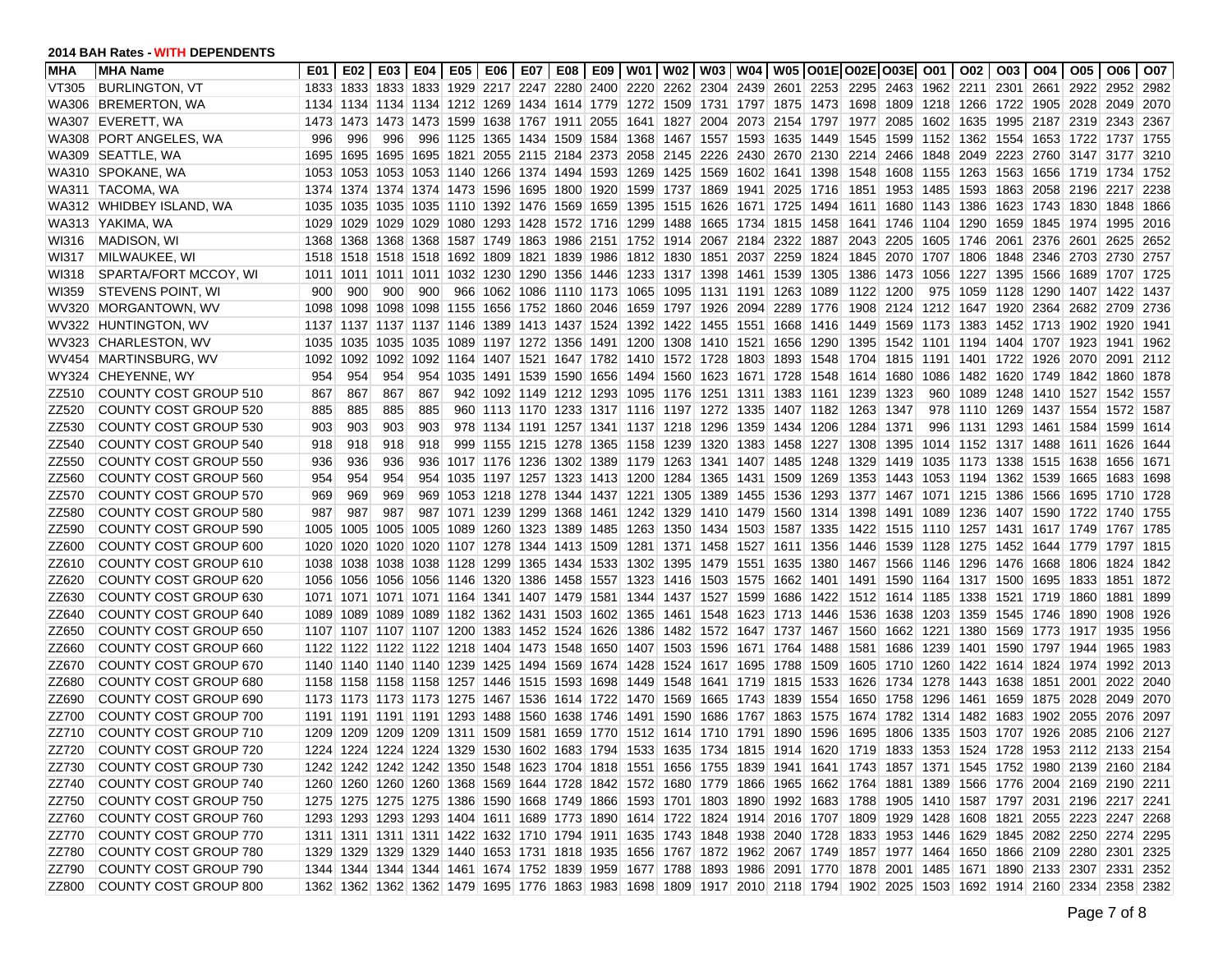| <b>MHA</b> | <b>MHA Name</b>              | E01  |                                                                       |     |                |  |  |                                                                  |  | E02   E03   E04   E05   E06   E07   E08   E09   W01   W02   W03   W04   W05  O01E O02E O03E  O01   O02                  |      |                                                              |                     |  | 003   004   005   006                                 |      | l O07  |
|------------|------------------------------|------|-----------------------------------------------------------------------|-----|----------------|--|--|------------------------------------------------------------------|--|-------------------------------------------------------------------------------------------------------------------------|------|--------------------------------------------------------------|---------------------|--|-------------------------------------------------------|------|--------|
| VT305      | <b>BURLINGTON, VT</b>        |      |                                                                       |     |                |  |  |                                                                  |  | 1833 1833 1833 1833 1929 2217 2247 2280 2400 2220 2262 2304 2439 2601 2253 2295 2463 1962 2211 2301 2661 2922 2952      |      |                                                              |                     |  |                                                       |      | 2982   |
| WA306      | <b>BREMERTON, WA</b>         |      |                                                                       |     |                |  |  |                                                                  |  | 1134 1134 1134 1134 1212 1269 1434 1614 1779 1272 1509 1731 1797 1875 1473 1698 1809 1218 1266 1722 1905 2028 2049      |      |                                                              |                     |  |                                                       |      | 2070   |
| WA307      | EVERETT, WA                  | 1473 |                                                                       |     |                |  |  |                                                                  |  | 1473 1473 1473 1599 1638 1767 1911 2055 1641 1827 2004 2073 2154 1797 1977                                              |      |                                                              |                     |  | 2085 1602 1635 1995 2187 2319 2343                    |      | 2367   |
| WA308      | <b>PORT ANGELES, WA</b>      | 996  | 996                                                                   | 996 | 996            |  |  |                                                                  |  | 1125 1365 1434 1509 1584 1368 1467 1557 1593 1635 1449                                                                  |      | 1545                                                         |                     |  | 1599 1152 1362 1554 1653 1722 1737                    |      | 1755   |
|            | WA309 SEATTLE, WA            | 1695 |                                                                       |     |                |  |  |                                                                  |  | 1695 1695 1695 1821 2055 2115 2184 2373 2058 2145 2226 2430 2670 2130                                                   |      |                                                              |                     |  | 2214 2466 1848 2049 2223 2760 3147 3177               |      | 3210   |
| WA310      | SPOKANE, WA                  | 1053 |                                                                       |     |                |  |  |                                                                  |  | 1053 1053 1053 1140 1266 1374 1494 1593 1269 1425 1569 1602 1641 1398 1548 1608 1155 1263 1563 1656 1719 1734           |      |                                                              |                     |  |                                                       |      | 1752   |
|            | WA311   TACOMA, WA           |      |                                                                       |     |                |  |  |                                                                  |  | 1374 1374 1374 1374 1473 1596 1695 1800 1920 1599 1737 1869 1941 2025 1716 1851 1953 1485 1593 1863 2058 2196 2217      |      |                                                              |                     |  |                                                       |      | 2238   |
|            | WA312 WHIDBEY ISLAND, WA     | 1035 |                                                                       |     |                |  |  |                                                                  |  | 1035 1035 1035 1110 1392 1476 1569 1659 1395 1515 1626 1671 1725 1494 1611 1680 1143 1386 1623 1743 1830 1848           |      |                                                              |                     |  |                                                       |      | 1866   |
|            | WA313 YAKIMA, WA             | 1029 |                                                                       |     |                |  |  |                                                                  |  | 1029 1029 1029 1080 1293 1428 1572 1716 1299 1488 1665 1734 1815 1458 1641 1746 1104 1290 1659 1845 1974 1995           |      |                                                              |                     |  |                                                       |      | 2016   |
| WI316      | <b>MADISON, WI</b>           | 1368 |                                                                       |     |                |  |  | 1368 1368 1368 1587 1749 1863 1986 2151 1752 1914 2067 2184 2322 |  |                                                                                                                         | 1887 |                                                              |                     |  | 2043 2205 1605 1746 2061 2376 2601 2625               |      | 2652   |
| WI317      | MILWAUKEE, WI                | 1518 |                                                                       |     |                |  |  | 1518 1518 1518 1692 1809 1821 1839 1986 1812 1830 1851 2037 2259 |  |                                                                                                                         |      | 1824 1845 2070 1707 1806 1848 2346 2703 2730                 |                     |  |                                                       |      | 2757   |
| WI318      | SPARTA/FORT MCCOY, WI        | 1011 |                                                                       |     | 1011 1011 1011 |  |  | 1032 1230 1290 1356 1446 1233 1317 1398 1461 1539                |  |                                                                                                                         | 1305 | 1386   1473   1056   1227   1395   1566   1689   1707   1725 |                     |  |                                                       |      |        |
| WI359      | <b>STEVENS POINT, WI</b>     | 900  | 900                                                                   | 900 | 900            |  |  | 966 1062 1086 1110 1173 1065 1095 1131 1191 1263                 |  |                                                                                                                         |      | 1089 1122 1200                                               |                     |  | 975 1059 1128 1290 1407 1422                          |      | 1437   |
| WV320      | <b>MORGANTOWN, WV</b>        | 1098 |                                                                       |     |                |  |  |                                                                  |  | 1098 1098 1098 1155 1656 1752 1860 2046 1659 1797 1926 2094 2289 1776 1908 2124 1212 1647 1920 2364 2682 2709           |      |                                                              |                     |  |                                                       |      | 2736   |
|            | WV322 HUNTINGTON, WV         |      |                                                                       |     |                |  |  |                                                                  |  | 1137 1137 1137 1137 1146 1389 1413 1437 1524 1392 1422 1455 1551 1668                                                   |      | 1416 1449                                                    |                     |  | 1569  1173  1383  1452  1713  1902  1920              |      | 1941   |
|            | WV323 CHARLESTON, WV         | 1035 |                                                                       |     | 1035 1035 1035 |  |  | 1089 1197 1272 1356 1491 1200 1308 1410 1521 1656                |  |                                                                                                                         | 1290 |                                                              |                     |  | 1395   1542   1101   1194   1404   1707   1923   1941 |      | 1962   |
| WV454      | MARTINSBURG, WV              | 1092 |                                                                       |     |                |  |  |                                                                  |  | 1092 1092 1092 1164 1407 1521 1647 1782 1410 1572 1728 1803 1893 1548 1704 1815 1191 1401 1722 1926 2070                |      |                                                              |                     |  |                                                       | 2091 | 2112   |
| WY324      | CHEYENNE, WY                 | 954  | 954                                                                   | 954 | 954            |  |  |                                                                  |  | 1035 1491 1539 1590 1656 1494 1560 1623 1671 1728 1548 1614 1680                                                        |      |                                                              |                     |  | 1086 1482 1620 1749 1842 1860                         |      | 1878   |
| ZZ510      | COUNTY COST GROUP 510        | 867  | 867                                                                   | 867 | 867            |  |  |                                                                  |  | 942 1092 1149 1212 1293 1095 1176 1251 1311 1383 1161 1239 1323                                                         |      |                                                              |                     |  | 960 1089 1248 1410 1527 1542                          |      | 1557   |
| ZZ520      | COUNTY COST GROUP 520        | 885  | 885                                                                   | 885 | 885            |  |  |                                                                  |  | 960 1113 1170 1233 1317 1116 1197 1272 1335 1407 1182 1263 1347                                                         |      |                                                              |                     |  | 978 1110 1269 1437 1554 1572                          |      | ∣ 1587 |
| ZZ530      | COUNTY COST GROUP 530        | 903  | 903                                                                   | 903 | 903            |  |  |                                                                  |  | 978 1134 1191 1257 1341 1137 1218 1296 1359 1434 1206                                                                   |      | 1284                                                         | 1371                |  | 996 1131 1293 1461 1584 1599                          |      | 1614   |
| ZZ540      | COUNTY COST GROUP 540        | 918  | 918                                                                   | 918 | 918            |  |  |                                                                  |  | 999 1155 1215 1278 1365 1158 1239 1320 1383 1458 1227 1308                                                              |      |                                                              |                     |  | 1395   1014   1152   1317   1488   1611   1626        |      | 1644   |
| ZZ550      | COUNTY COST GROUP 550        | 936  | 936                                                                   | 936 | 936            |  |  | 1017 1176 1236 1302 1389 1179 1263 1341 1407 1485                |  |                                                                                                                         | 1248 | 1329                                                         | 1419 1035 1173      |  | 1338 1515 1638                                        | 1656 | 1671   |
| ZZ560      | COUNTY COST GROUP 560        | 954  | 954                                                                   | 954 | 954            |  |  | 1035 1197 1257 1323 1413 1200 1284 1365 1431 1509                |  |                                                                                                                         | 1269 | 1353 1443 1053 1194 1362 1539 1665 1683                      |                     |  |                                                       |      | 1698   |
| ZZ570      | COUNTY COST GROUP 570        | 969  | 969                                                                   | 969 | 969            |  |  | 1053 1218 1278 1344 1437 1221 1305 1389 1455 1536                |  |                                                                                                                         | 1293 |                                                              |                     |  | 1377   1467   1071   1215   1386   1566   1695   1710 |      | 1728   |
| ZZ580      | COUNTY COST GROUP 580        | 987  | 987                                                                   | 987 | 987            |  |  | 1071 1239 1299 1368 1461 1242 1329 1410 1479 1560                |  |                                                                                                                         |      | 1314 1398 1491 1089 1236 1407 1590 1722 1740                 |                     |  |                                                       |      | 1755   |
| ZZ590      | <b>COUNTY COST GROUP 590</b> | 1005 |                                                                       |     | 1005 1005 1005 |  |  |                                                                  |  | 1089 1260 1323 1389 1485 1263 1350 1434 1503 1587 1335 1422 1515 1110 1257 1431 1617 1749 1767 1785                     |      |                                                              |                     |  |                                                       |      |        |
| ZZ600      | COUNTY COST GROUP 600        | 1020 |                                                                       |     |                |  |  |                                                                  |  | 1020 1020 1020 1107 1278 1344 1413 1509 1281 1371 1458 1527 1611 1356 1446 1539 1128 1275 1452 1644 1779 1797           |      |                                                              |                     |  |                                                       |      | 1815   |
| ZZ610      | COUNTY COST GROUP 610        | 1038 |                                                                       |     |                |  |  | 1038 1038 1038 1128 1299 1365 1434 1533 1302 1395 1479 1551 1635 |  |                                                                                                                         |      | 1380 1467 1566 1146 1296 1476 1668 1806 1824                 |                     |  |                                                       |      | 1842   |
| ZZ620      | COUNTY COST GROUP 620        |      |                                                                       |     |                |  |  |                                                                  |  | 1056 1056 1056 1056 1146 1320 1386 1458 1557 1323 1416 1503 1575 1662 1401 1491 1590 1164 1317 1500 1695 1833 1851      |      |                                                              |                     |  |                                                       |      | 1872   |
| ZZ630      | COUNTY COST GROUP 630        |      |                                                                       |     |                |  |  |                                                                  |  | 1071 1071 1071 1071 1164 1341 1407 1479 1581 1344 1437 1527 1599 1686 1422 1512 1614 1185 1338 1521 1719 1860 1881      |      |                                                              |                     |  |                                                       |      | 1899   |
| ZZ640      | COUNTY COST GROUP 640        |      |                                                                       |     |                |  |  |                                                                  |  | 1089 1089 1089 1089 1182 1362 1431 1503 1602 1365 1461 1548 1623 1713 1446 1536 1638 1203 1359 1545 1746 1890 1908      |      |                                                              |                     |  |                                                       |      | 1926   |
| ZZ650      | COUNTY COST GROUP 650        |      |                                                                       |     |                |  |  |                                                                  |  | 1107 1107 1107 1107 1200 1383 1452 1524 1626 1386 1482 1572 1647 1737 1467                                              |      | 1560 1662 1221 1380                                          |                     |  | 1569   1773   1917   1935                             |      | 1956   |
| ZZ660      | COUNTY COST GROUP 660        |      |                                                                       |     |                |  |  |                                                                  |  | 1122 1122 1122 1122 1218 1404 1473 1548 1650 1407 1503 1596 1671 1764 1488                                              |      |                                                              |                     |  | 1581 1686 1239 1401 1590 1797 1944 1965               |      | 1983   |
| ZZ670      | COUNTY COST GROUP 670        |      |                                                                       |     |                |  |  |                                                                  |  | 1140 1140 1140 1140 1239 1425 1494 1569 1674 1428 1524 1617 1695 1788 1509                                              |      |                                                              |                     |  | 1605 1710 1260 1422 1614 1824 1974 1992               |      | 2013   |
| ZZ680      | COUNTY COST GROUP 680        |      |                                                                       |     |                |  |  |                                                                  |  | 1158 1158 1158 1158 1257 1446 1515 1593 1698 1449 1548 1641 1719 1815 1533                                              |      | 1626                                                         |                     |  | 1734  1278  1443  1638  1851  2001  2022              |      | 2040   |
| ZZ690      | COUNTY COST GROUP 690        |      | 1173 1173 1173 1173 1275 1467 1536 1614 1722 1470 1569 1665 1743 1839 |     |                |  |  |                                                                  |  |                                                                                                                         | 1554 |                                                              | 1650 1758 1296 1461 |  | 1659 1875 2028 2049                                   |      | 2070   |
| ZZ700      | COUNTY COST GROUP 700        |      |                                                                       |     |                |  |  |                                                                  |  | 1191 1191 1191 1191 1293 1488 1560 1638 1746 1491 1590 1686 1767 1863                                                   | 1575 | 1674                                                         |                     |  | 1782  1314  1482  1683  1902  2055  2076              |      | 2097   |
| ZZ710      | COUNTY COST GROUP 710        |      | 1209 1209 1209 1209 1311 1509 1581 1659 1770 1512 1614 1710 1791 1890 |     |                |  |  |                                                                  |  |                                                                                                                         | 1596 |                                                              |                     |  | 1695 1806 1335 1503 1707 1926 2085 2106               |      | 2127   |
| ZZ720      | COUNTY COST GROUP 720        |      |                                                                       |     |                |  |  |                                                                  |  | 1224 1224 1224 1224 1329 1530 1602 1683 1794 1533 1635 1734 1815 1914 1620 1719 1833 1353 1524 1728 1953 2112 2133 2154 |      |                                                              |                     |  |                                                       |      |        |
| ZZ730      | COUNTY COST GROUP 730        |      |                                                                       |     |                |  |  |                                                                  |  | 1242 1242 1242 1242 1350 1548 1623 1704 1818 1551 1656 1755 1839 1941 1641 1743 1857 1371 1545 1752 1980 2139 2160 2184 |      |                                                              |                     |  |                                                       |      |        |
| ZZ740      | COUNTY COST GROUP 740        |      |                                                                       |     |                |  |  |                                                                  |  | 1260 1260 1260 1260 1368 1569 1644 1728 1842 1572 1680 1779 1866 1965 1662 1764 1881 1389 1566 1776 2004 2169 2190 2211 |      |                                                              |                     |  |                                                       |      |        |
| ZZ750      | COUNTY COST GROUP 750        |      |                                                                       |     |                |  |  |                                                                  |  | 1275 1275 1275 1275 1386 1590 1668 1749 1866 1593 1701 1803 1890 1992 1683 1788 1905 1410 1587 1797 2031 2196 2217 2241 |      |                                                              |                     |  |                                                       |      |        |
| ZZ760      | COUNTY COST GROUP 760        |      |                                                                       |     |                |  |  |                                                                  |  | 1293 1293 1293 1293 1404 1611 1689 1773 1890 1614 1722 1824 1914 2016 1707 1809 1929 1428 1608 1821 2055 2223 2247 2268 |      |                                                              |                     |  |                                                       |      |        |
| ZZ770      | COUNTY COST GROUP 770        |      |                                                                       |     |                |  |  |                                                                  |  | 1311 1311 1311 1311 1422 1632 1710 1794 1911 1635 1743 1848 1938 2040 1728 1833 1953 1446 1629 1845 2082 2250 2274 2295 |      |                                                              |                     |  |                                                       |      |        |
| ZZ780      | COUNTY COST GROUP 780        |      |                                                                       |     |                |  |  |                                                                  |  | 1329 1329 1329 1329 1440 1653 1731 1818 1935 1656 1767 1872 1962 2067 1749 1857 1977 1464 1650 1866 2109 2280 2301 2325 |      |                                                              |                     |  |                                                       |      |        |
| ZZ790      | COUNTY COST GROUP 790        |      |                                                                       |     |                |  |  |                                                                  |  | 1344 1344 1344 1344 1461 1674 1752 1839 1959 1677 1788 1893 1986 2091 1770 1878 2001 1485 1671 1890 2133 2307 2331 2352 |      |                                                              |                     |  |                                                       |      |        |
| ZZ800      | COUNTY COST GROUP 800        |      |                                                                       |     |                |  |  |                                                                  |  | 1362 1362 1362 1362 1479 1695 1776 1863 1983 1698 1809 1917 2010 2118 1794 1902 2025 1503 1692 1914 2160 2334 2358 2382 |      |                                                              |                     |  |                                                       |      |        |
|            |                              |      |                                                                       |     |                |  |  |                                                                  |  |                                                                                                                         |      |                                                              |                     |  |                                                       |      |        |